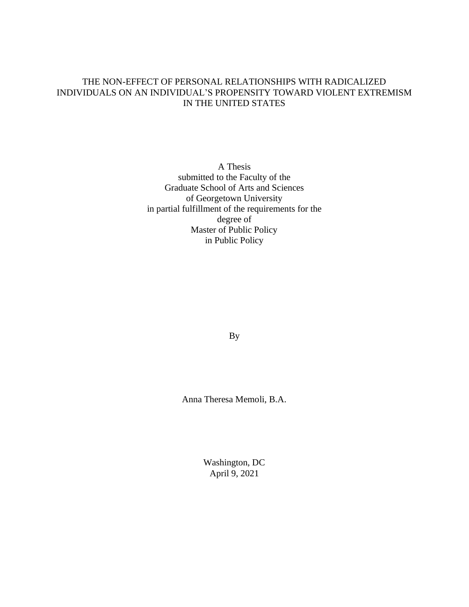### THE NON-EFFECT OF PERSONAL RELATIONSHIPS WITH RADICALIZED INDIVIDUALS ON AN INDIVIDUAL'S PROPENSITY TOWARD VIOLENT EXTREMISM IN THE UNITED STATES

A Thesis submitted to the Faculty of the Graduate School of Arts and Sciences of Georgetown University in partial fulfillment of the requirements for the degree of Master of Public Policy in Public Policy

By

Anna Theresa Memoli, B.A.

Washington, DC April 9, 2021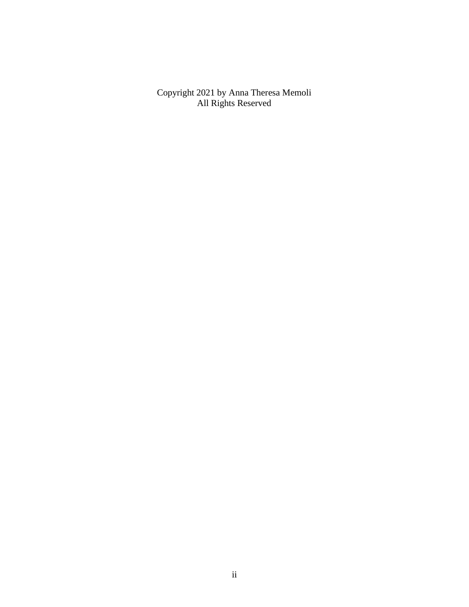Copyright 2021 by Anna Theresa Memoli All Rights Reserved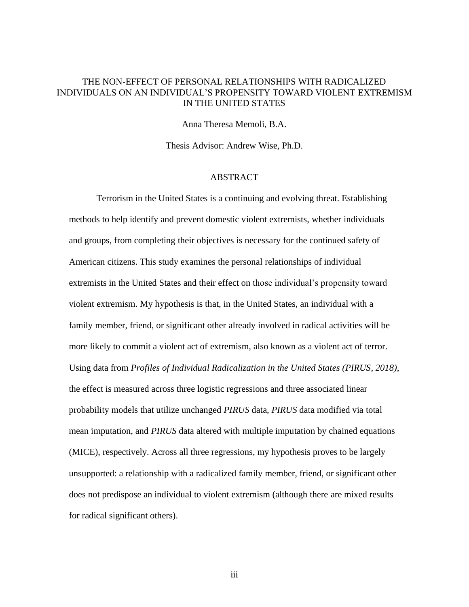#### THE NON-EFFECT OF PERSONAL RELATIONSHIPS WITH RADICALIZED INDIVIDUALS ON AN INDIVIDUAL'S PROPENSITY TOWARD VIOLENT EXTREMISM IN THE UNITED STATES

Anna Theresa Memoli, B.A.

Thesis Advisor: Andrew Wise, Ph.D.

#### **ABSTRACT**

Terrorism in the United States is a continuing and evolving threat. Establishing methods to help identify and prevent domestic violent extremists, whether individuals and groups, from completing their objectives is necessary for the continued safety of American citizens. This study examines the personal relationships of individual extremists in the United States and their effect on those individual's propensity toward violent extremism. My hypothesis is that, in the United States, an individual with a family member, friend, or significant other already involved in radical activities will be more likely to commit a violent act of extremism, also known as a violent act of terror. Using data from *Profiles of Individual Radicalization in the United States (PIRUS, 2018)*, the effect is measured across three logistic regressions and three associated linear probability models that utilize unchanged *PIRUS* data, *PIRUS* data modified via total mean imputation, and *PIRUS* data altered with multiple imputation by chained equations (MICE), respectively. Across all three regressions, my hypothesis proves to be largely unsupported: a relationship with a radicalized family member, friend, or significant other does not predispose an individual to violent extremism (although there are mixed results for radical significant others).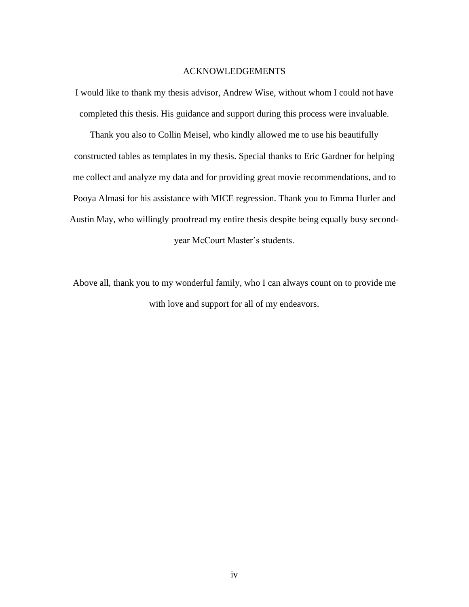#### ACKNOWLEDGEMENTS

I would like to thank my thesis advisor, Andrew Wise, without whom I could not have completed this thesis. His guidance and support during this process were invaluable.

Thank you also to Collin Meisel, who kindly allowed me to use his beautifully constructed tables as templates in my thesis. Special thanks to Eric Gardner for helping me collect and analyze my data and for providing great movie recommendations, and to Pooya Almasi for his assistance with MICE regression. Thank you to Emma Hurler and Austin May, who willingly proofread my entire thesis despite being equally busy secondyear McCourt Master's students.

Above all, thank you to my wonderful family, who I can always count on to provide me with love and support for all of my endeavors.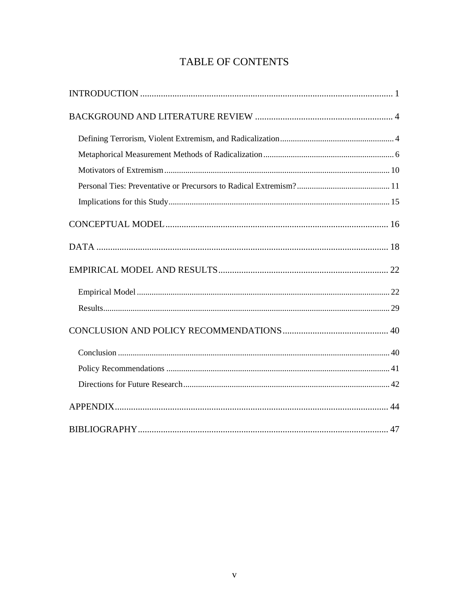# TABLE OF CONTENTS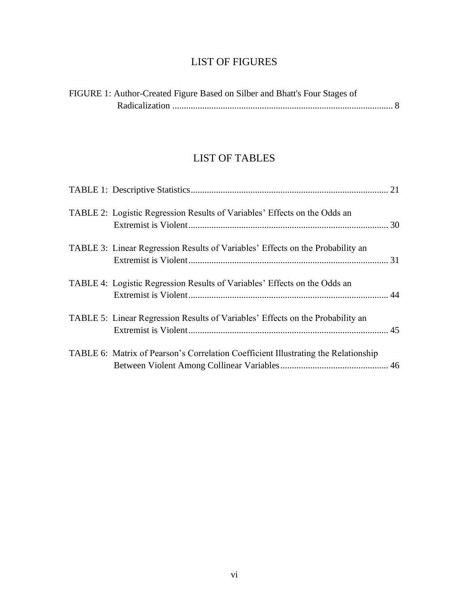## LIST OF FIGURES

| FIGURE 1: Author-Created Figure Based on Silber and Bhatt's Four Stages of |  |
|----------------------------------------------------------------------------|--|
|                                                                            |  |

## LIST OF TABLES

| TABLE 2: Logistic Regression Results of Variables' Effects on the Odds an          |  |
|------------------------------------------------------------------------------------|--|
| TABLE 3: Linear Regression Results of Variables' Effects on the Probability an     |  |
| TABLE 4: Logistic Regression Results of Variables' Effects on the Odds an          |  |
| TABLE 5: Linear Regression Results of Variables' Effects on the Probability an     |  |
| TABLE 6: Matrix of Pearson's Correlation Coefficient Illustrating the Relationship |  |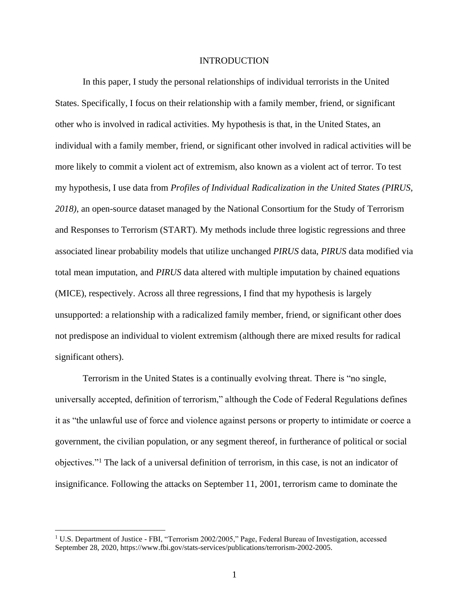#### INTRODUCTION

<span id="page-6-0"></span>In this paper, I study the personal relationships of individual terrorists in the United States. Specifically, I focus on their relationship with a family member, friend, or significant other who is involved in radical activities. My hypothesis is that, in the United States, an individual with a family member, friend, or significant other involved in radical activities will be more likely to commit a violent act of extremism, also known as a violent act of terror. To test my hypothesis, I use data from *Profiles of Individual Radicalization in the United States (PIRUS, 2018)*, an open-source dataset managed by the National Consortium for the Study of Terrorism and Responses to Terrorism (START). My methods include three logistic regressions and three associated linear probability models that utilize unchanged *PIRUS* data, *PIRUS* data modified via total mean imputation, and *PIRUS* data altered with multiple imputation by chained equations (MICE), respectively. Across all three regressions, I find that my hypothesis is largely unsupported: a relationship with a radicalized family member, friend, or significant other does not predispose an individual to violent extremism (although there are mixed results for radical significant others).

Terrorism in the United States is a continually evolving threat. There is "no single, universally accepted, definition of terrorism," although the Code of Federal Regulations defines it as "the unlawful use of force and violence against persons or property to intimidate or coerce a government, the civilian population, or any segment thereof, in furtherance of political or social objectives."<sup>1</sup> The lack of a universal definition of terrorism, in this case, is not an indicator of insignificance. Following the attacks on September 11, 2001, terrorism came to dominate the

<sup>1</sup> U.S. Department of Justice - FBI, "Terrorism 2002/2005," Page, Federal Bureau of Investigation, accessed September 28, 2020, https://www.fbi.gov/stats-services/publications/terrorism-2002-2005.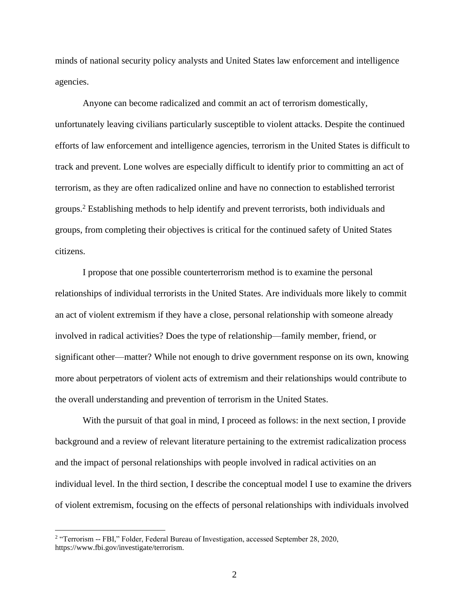minds of national security policy analysts and United States law enforcement and intelligence agencies.

Anyone can become radicalized and commit an act of terrorism domestically, unfortunately leaving civilians particularly susceptible to violent attacks. Despite the continued efforts of law enforcement and intelligence agencies, terrorism in the United States is difficult to track and prevent. Lone wolves are especially difficult to identify prior to committing an act of terrorism, as they are often radicalized online and have no connection to established terrorist groups.<sup>2</sup> Establishing methods to help identify and prevent terrorists, both individuals and groups, from completing their objectives is critical for the continued safety of United States citizens.

I propose that one possible counterterrorism method is to examine the personal relationships of individual terrorists in the United States. Are individuals more likely to commit an act of violent extremism if they have a close, personal relationship with someone already involved in radical activities? Does the type of relationship—family member, friend, or significant other—matter? While not enough to drive government response on its own, knowing more about perpetrators of violent acts of extremism and their relationships would contribute to the overall understanding and prevention of terrorism in the United States.

With the pursuit of that goal in mind, I proceed as follows: in the next section, I provide background and a review of relevant literature pertaining to the extremist radicalization process and the impact of personal relationships with people involved in radical activities on an individual level. In the third section, I describe the conceptual model I use to examine the drivers of violent extremism, focusing on the effects of personal relationships with individuals involved

<sup>&</sup>lt;sup>2</sup> "Terrorism -- FBI," Folder, Federal Bureau of Investigation, accessed September 28, 2020, https://www.fbi.gov/investigate/terrorism.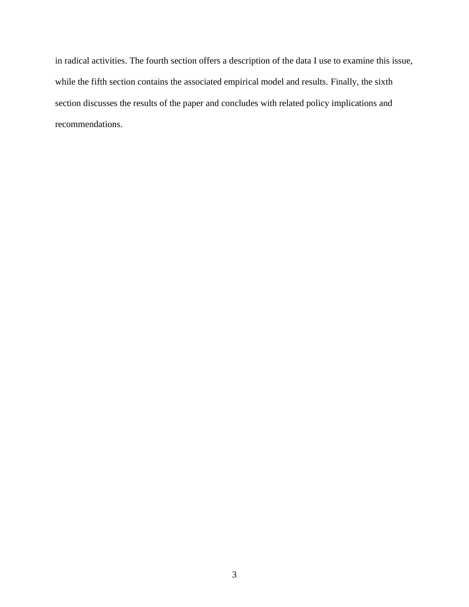in radical activities. The fourth section offers a description of the data I use to examine this issue, while the fifth section contains the associated empirical model and results. Finally, the sixth section discusses the results of the paper and concludes with related policy implications and recommendations.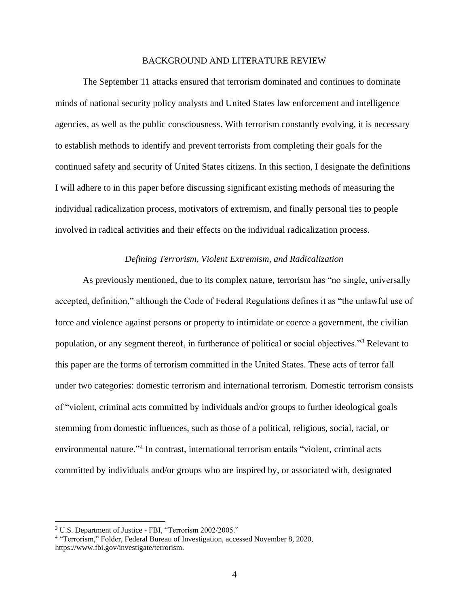#### BACKGROUND AND LITERATURE REVIEW

<span id="page-9-0"></span>The September 11 attacks ensured that terrorism dominated and continues to dominate minds of national security policy analysts and United States law enforcement and intelligence agencies, as well as the public consciousness. With terrorism constantly evolving, it is necessary to establish methods to identify and prevent terrorists from completing their goals for the continued safety and security of United States citizens. In this section, I designate the definitions I will adhere to in this paper before discussing significant existing methods of measuring the individual radicalization process, motivators of extremism, and finally personal ties to people involved in radical activities and their effects on the individual radicalization process.

#### *Defining Terrorism, Violent Extremism, and Radicalization*

<span id="page-9-1"></span>As previously mentioned, due to its complex nature, terrorism has "no single, universally accepted, definition," although the Code of Federal Regulations defines it as "the unlawful use of force and violence against persons or property to intimidate or coerce a government, the civilian population, or any segment thereof, in furtherance of political or social objectives."<sup>3</sup> Relevant to this paper are the forms of terrorism committed in the United States. These acts of terror fall under two categories: domestic terrorism and international terrorism. Domestic terrorism consists of "violent, criminal acts committed by individuals and/or groups to further ideological goals stemming from domestic influences, such as those of a political, religious, social, racial, or environmental nature." 4 In contrast, international terrorism entails "violent, criminal acts committed by individuals and/or groups who are inspired by, or associated with, designated

<sup>3</sup> U.S. Department of Justice - FBI, "Terrorism 2002/2005."

<sup>&</sup>lt;sup>4</sup> "Terrorism," Folder, Federal Bureau of Investigation, accessed November 8, 2020, https://www.fbi.gov/investigate/terrorism.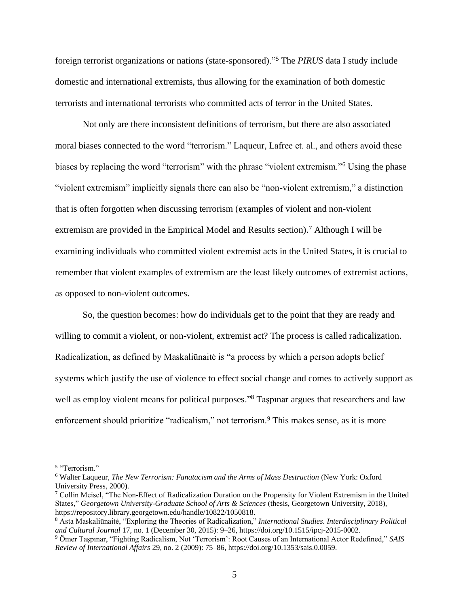foreign terrorist organizations or nations (state-sponsored)."<sup>5</sup> The *PIRUS* data I study include domestic and international extremists, thus allowing for the examination of both domestic terrorists and international terrorists who committed acts of terror in the United States.

Not only are there inconsistent definitions of terrorism, but there are also associated moral biases connected to the word "terrorism." Laqueur, Lafree et. al., and others avoid these biases by replacing the word "terrorism" with the phrase "violent extremism."<sup>6</sup> Using the phase "violent extremism" implicitly signals there can also be "non-violent extremism," a distinction that is often forgotten when discussing terrorism (examples of violent and non-violent extremism are provided in the Empirical Model and Results section).<sup>7</sup> Although I will be examining individuals who committed violent extremist acts in the United States, it is crucial to remember that violent examples of extremism are the least likely outcomes of extremist actions, as opposed to non-violent outcomes.

So, the question becomes: how do individuals get to the point that they are ready and willing to commit a violent, or non-violent, extremist act? The process is called radicalization. Radicalization, as defined by Maskaliūnaitė is "a process by which a person adopts belief systems which justify the use of violence to effect social change and comes to actively support as well as employ violent means for political purposes."<sup>8</sup> Taspinar argues that researchers and law enforcement should prioritize "radicalism," not terrorism.<sup>9</sup> This makes sense, as it is more

<sup>&</sup>lt;sup>5</sup> "Terrorism."

<sup>6</sup> Walter Laqueur, *The New Terrorism: Fanatacism and the Arms of Mass Destruction* (New York: Oxford University Press, 2000).

 $7$  Collin Meisel, "The Non-Effect of Radicalization Duration on the Propensity for Violent Extremism in the United States," *Georgetown University-Graduate School of Arts & Sciences* (thesis, Georgetown University, 2018), https://repository.library.georgetown.edu/handle/10822/1050818.

<sup>8</sup> Asta Maskaliūnaitė, "Exploring the Theories of Radicalization," *International Studies. Interdisciplinary Political and Cultural Journal* 17, no. 1 (December 30, 2015): 9–26, https://doi.org/10.1515/ipcj-2015-0002.

<sup>9</sup> Ömer Taşpınar, "Fighting Radicalism, Not 'Terrorism': Root Causes of an International Actor Redefined," *SAIS Review of International Affairs* 29, no. 2 (2009): 75–86, https://doi.org/10.1353/sais.0.0059.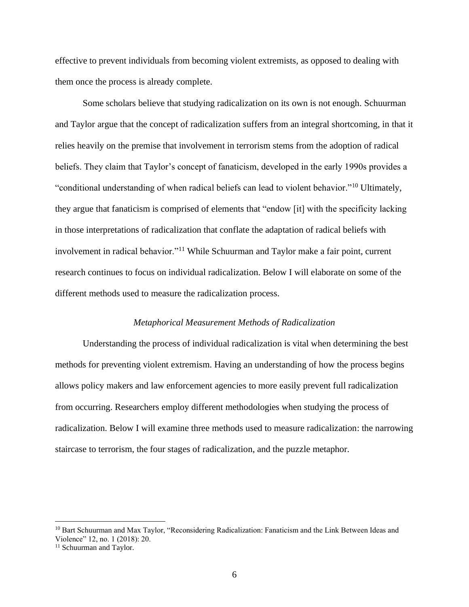effective to prevent individuals from becoming violent extremists, as opposed to dealing with them once the process is already complete.

Some scholars believe that studying radicalization on its own is not enough. Schuurman and Taylor argue that the concept of radicalization suffers from an integral shortcoming, in that it relies heavily on the premise that involvement in terrorism stems from the adoption of radical beliefs. They claim that Taylor's concept of fanaticism, developed in the early 1990s provides a "conditional understanding of when radical beliefs can lead to violent behavior."<sup>10</sup> Ultimately, they argue that fanaticism is comprised of elements that "endow [it] with the specificity lacking in those interpretations of radicalization that conflate the adaptation of radical beliefs with involvement in radical behavior."<sup>11</sup> While Schuurman and Taylor make a fair point, current research continues to focus on individual radicalization. Below I will elaborate on some of the different methods used to measure the radicalization process.

#### *Metaphorical Measurement Methods of Radicalization*

<span id="page-11-0"></span>Understanding the process of individual radicalization is vital when determining the best methods for preventing violent extremism. Having an understanding of how the process begins allows policy makers and law enforcement agencies to more easily prevent full radicalization from occurring. Researchers employ different methodologies when studying the process of radicalization. Below I will examine three methods used to measure radicalization: the narrowing staircase to terrorism, the four stages of radicalization, and the puzzle metaphor.

<sup>&</sup>lt;sup>10</sup> Bart Schuurman and Max Taylor, "Reconsidering Radicalization: Fanaticism and the Link Between Ideas and Violence" 12, no. 1 (2018): 20.

<sup>&</sup>lt;sup>11</sup> Schuurman and Taylor.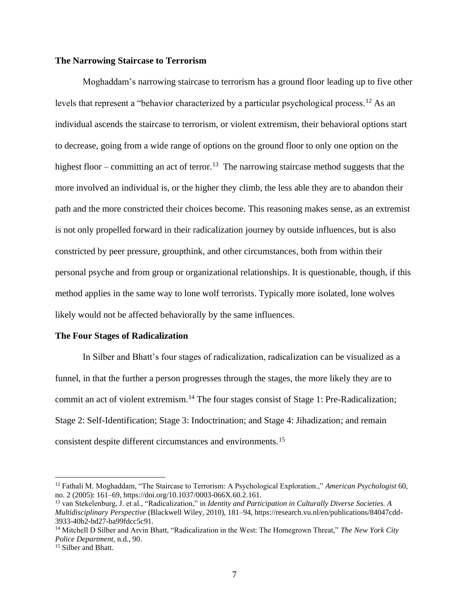#### **The Narrowing Staircase to Terrorism**

Moghaddam's narrowing staircase to terrorism has a ground floor leading up to five other levels that represent a "behavior characterized by a particular psychological process.<sup>12</sup> As an individual ascends the staircase to terrorism, or violent extremism, their behavioral options start to decrease, going from a wide range of options on the ground floor to only one option on the highest floor – committing an act of terror.<sup>13</sup> The narrowing staircase method suggests that the more involved an individual is, or the higher they climb, the less able they are to abandon their path and the more constricted their choices become. This reasoning makes sense, as an extremist is not only propelled forward in their radicalization journey by outside influences, but is also constricted by peer pressure, groupthink, and other circumstances, both from within their personal psyche and from group or organizational relationships. It is questionable, though, if this method applies in the same way to lone wolf terrorists. Typically more isolated, lone wolves likely would not be affected behaviorally by the same influences.

#### **The Four Stages of Radicalization**

In Silber and Bhatt's four stages of radicalization, radicalization can be visualized as a funnel, in that the further a person progresses through the stages, the more likely they are to commit an act of violent extremism.<sup>14</sup> The four stages consist of Stage 1: Pre-Radicalization; Stage 2: Self-Identification; Stage 3: Indoctrination; and Stage 4: Jihadization; and remain consistent despite different circumstances and environments.<sup>15</sup>

<sup>12</sup> Fathali M. Moghaddam, "The Staircase to Terrorism: A Psychological Exploration.," *American Psychologist* 60, no. 2 (2005): 161–69, https://doi.org/10.1037/0003-066X.60.2.161.

<sup>13</sup> van Stekelenburg, J. et al., "Radicalization," in *Identity and Participation in Culturally Diverse Societies. A Multidisciplinary Perspective* (Blackwell Wiley, 2010), 181–94, https://research.vu.nl/en/publications/84047cdd-3933-40b2-bd27-ba99fdcc5c91.

<sup>14</sup> Mitchell D Silber and Arvin Bhatt, "Radicalization in the West: The Homegrown Threat," *The New York City Police Department*, n.d., 90.

<sup>&</sup>lt;sup>15</sup> Silber and Bhatt.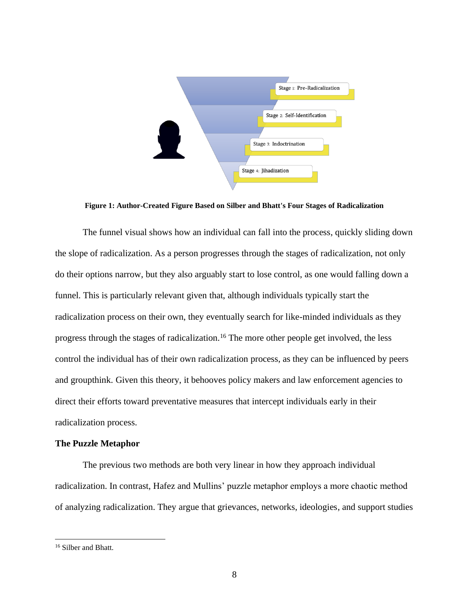

**Figure 1: Author-Created Figure Based on Silber and Bhatt's Four Stages of Radicalization**

The funnel visual shows how an individual can fall into the process, quickly sliding down the slope of radicalization. As a person progresses through the stages of radicalization, not only do their options narrow, but they also arguably start to lose control, as one would falling down a funnel. This is particularly relevant given that, although individuals typically start the radicalization process on their own, they eventually search for like-minded individuals as they progress through the stages of radicalization.<sup>16</sup> The more other people get involved, the less control the individual has of their own radicalization process, as they can be influenced by peers and groupthink. Given this theory, it behooves policy makers and law enforcement agencies to direct their efforts toward preventative measures that intercept individuals early in their radicalization process.

#### **The Puzzle Metaphor**

The previous two methods are both very linear in how they approach individual radicalization. In contrast, Hafez and Mullins' puzzle metaphor employs a more chaotic method of analyzing radicalization. They argue that grievances, networks, ideologies, and support studies

<sup>&</sup>lt;sup>16</sup> Silber and Bhatt.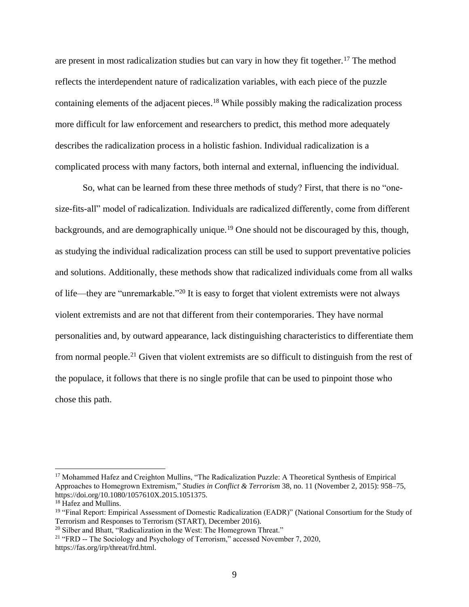are present in most radicalization studies but can vary in how they fit together.<sup>17</sup> The method reflects the interdependent nature of radicalization variables, with each piece of the puzzle containing elements of the adjacent pieces.<sup>18</sup> While possibly making the radicalization process more difficult for law enforcement and researchers to predict, this method more adequately describes the radicalization process in a holistic fashion. Individual radicalization is a complicated process with many factors, both internal and external, influencing the individual.

So, what can be learned from these three methods of study? First, that there is no "onesize-fits-all" model of radicalization. Individuals are radicalized differently, come from different backgrounds, and are demographically unique.<sup>19</sup> One should not be discouraged by this, though, as studying the individual radicalization process can still be used to support preventative policies and solutions. Additionally, these methods show that radicalized individuals come from all walks of life—they are "unremarkable."<sup>20</sup> It is easy to forget that violent extremists were not always violent extremists and are not that different from their contemporaries. They have normal personalities and, by outward appearance, lack distinguishing characteristics to differentiate them from normal people.<sup>21</sup> Given that violent extremists are so difficult to distinguish from the rest of the populace, it follows that there is no single profile that can be used to pinpoint those who chose this path.

<sup>&</sup>lt;sup>17</sup> Mohammed Hafez and Creighton Mullins, "The Radicalization Puzzle: A Theoretical Synthesis of Empirical Approaches to Homegrown Extremism," *Studies in Conflict & Terrorism* 38, no. 11 (November 2, 2015): 958–75, https://doi.org/10.1080/1057610X.2015.1051375.

<sup>18</sup> Hafez and Mullins.

<sup>19</sup> "Final Report: Empirical Assessment of Domestic Radicalization (EADR)" (National Consortium for the Study of Terrorism and Responses to Terrorism (START), December 2016).

<sup>&</sup>lt;sup>20</sup> Silber and Bhatt, "Radicalization in the West: The Homegrown Threat."

<sup>&</sup>lt;sup>21</sup> "FRD -- The Sociology and Psychology of Terrorism," accessed November 7, 2020, https://fas.org/irp/threat/frd.html.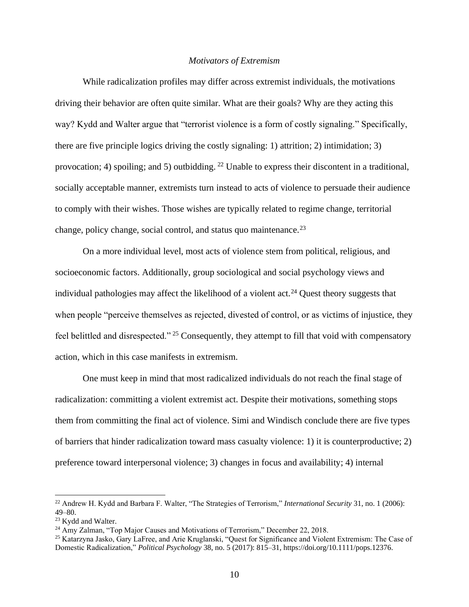#### *Motivators of Extremism*

<span id="page-15-0"></span>While radicalization profiles may differ across extremist individuals, the motivations driving their behavior are often quite similar. What are their goals? Why are they acting this way? Kydd and Walter argue that "terrorist violence is a form of costly signaling." Specifically, there are five principle logics driving the costly signaling: 1) attrition; 2) intimidation; 3) provocation; 4) spoiling; and 5) outbidding. <sup>22</sup> Unable to express their discontent in a traditional, socially acceptable manner, extremists turn instead to acts of violence to persuade their audience to comply with their wishes. Those wishes are typically related to regime change, territorial change, policy change, social control, and status quo maintenance.<sup>23</sup>

On a more individual level, most acts of violence stem from political, religious, and socioeconomic factors. Additionally, group sociological and social psychology views and individual pathologies may affect the likelihood of a violent  $act.^{24}$  Quest theory suggests that when people "perceive themselves as rejected, divested of control, or as victims of injustice, they feel belittled and disrespected." <sup>25</sup> Consequently, they attempt to fill that void with compensatory action, which in this case manifests in extremism.

One must keep in mind that most radicalized individuals do not reach the final stage of radicalization: committing a violent extremist act. Despite their motivations, something stops them from committing the final act of violence. Simi and Windisch conclude there are five types of barriers that hinder radicalization toward mass casualty violence: 1) it is counterproductive; 2) preference toward interpersonal violence; 3) changes in focus and availability; 4) internal

<sup>22</sup> Andrew H. Kydd and Barbara F. Walter, "The Strategies of Terrorism," *International Security* 31, no. 1 (2006): 49–80.

<sup>&</sup>lt;sup>23</sup> Kydd and Walter.

<sup>24</sup> Amy Zalman, "Top Major Causes and Motivations of Terrorism," December 22, 2018.

<sup>25</sup> Katarzyna Jasko, Gary LaFree, and Arie Kruglanski, "Quest for Significance and Violent Extremism: The Case of Domestic Radicalization," *Political Psychology* 38, no. 5 (2017): 815–31, https://doi.org/10.1111/pops.12376.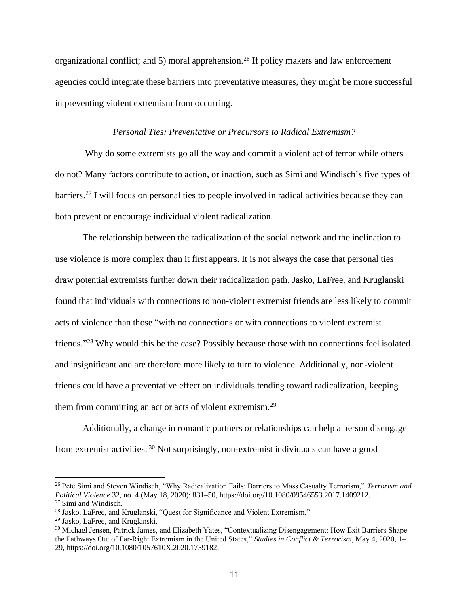organizational conflict; and 5) moral apprehension.<sup>26</sup> If policy makers and law enforcement agencies could integrate these barriers into preventative measures, they might be more successful in preventing violent extremism from occurring.

#### *Personal Ties: Preventative or Precursors to Radical Extremism?*

<span id="page-16-0"></span>Why do some extremists go all the way and commit a violent act of terror while others do not? Many factors contribute to action, or inaction, such as Simi and Windisch's five types of barriers.<sup>27</sup> I will focus on personal ties to people involved in radical activities because they can both prevent or encourage individual violent radicalization.

The relationship between the radicalization of the social network and the inclination to use violence is more complex than it first appears. It is not always the case that personal ties draw potential extremists further down their radicalization path. Jasko, LaFree, and Kruglanski found that individuals with connections to non-violent extremist friends are less likely to commit acts of violence than those "with no connections or with connections to violent extremist friends."<sup>28</sup> Why would this be the case? Possibly because those with no connections feel isolated and insignificant and are therefore more likely to turn to violence. Additionally, non-violent friends could have a preventative effect on individuals tending toward radicalization, keeping them from committing an act or acts of violent extremism.<sup>29</sup>

Additionally, a change in romantic partners or relationships can help a person disengage from extremist activities. <sup>30</sup> Not surprisingly, non-extremist individuals can have a good

<sup>26</sup> Pete Simi and Steven Windisch, "Why Radicalization Fails: Barriers to Mass Casualty Terrorism," *Terrorism and Political Violence* 32, no. 4 (May 18, 2020): 831–50, https://doi.org/10.1080/09546553.2017.1409212. <sup>27</sup> Simi and Windisch.

<sup>28</sup> Jasko, LaFree, and Kruglanski, "Quest for Significance and Violent Extremism."

<sup>29</sup> Jasko, LaFree, and Kruglanski.

<sup>&</sup>lt;sup>30</sup> Michael Jensen, Patrick James, and Elizabeth Yates, "Contextualizing Disengagement: How Exit Barriers Shape the Pathways Out of Far-Right Extremism in the United States," *Studies in Conflict & Terrorism*, May 4, 2020, 1– 29, https://doi.org/10.1080/1057610X.2020.1759182.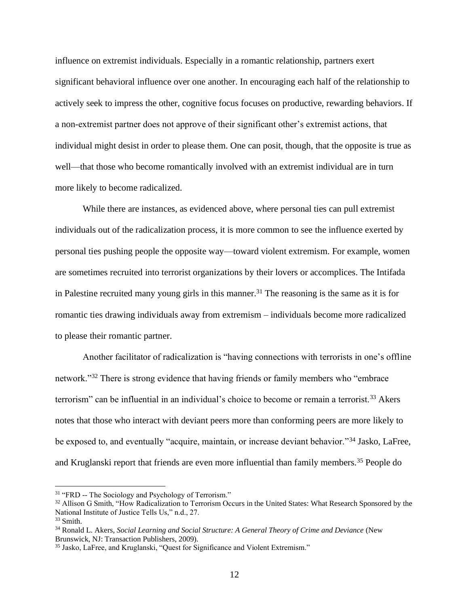influence on extremist individuals. Especially in a romantic relationship, partners exert significant behavioral influence over one another. In encouraging each half of the relationship to actively seek to impress the other, cognitive focus focuses on productive, rewarding behaviors. If a non-extremist partner does not approve of their significant other's extremist actions, that individual might desist in order to please them. One can posit, though, that the opposite is true as well—that those who become romantically involved with an extremist individual are in turn more likely to become radicalized.

While there are instances, as evidenced above, where personal ties can pull extremist individuals out of the radicalization process, it is more common to see the influence exerted by personal ties pushing people the opposite way—toward violent extremism. For example, women are sometimes recruited into terrorist organizations by their lovers or accomplices. The Intifada in Palestine recruited many young girls in this manner.<sup>31</sup> The reasoning is the same as it is for romantic ties drawing individuals away from extremism – individuals become more radicalized to please their romantic partner.

Another facilitator of radicalization is "having connections with terrorists in one's offline network."<sup>32</sup> There is strong evidence that having friends or family members who "embrace terrorism" can be influential in an individual's choice to become or remain a terrorist.<sup>33</sup> Akers notes that those who interact with deviant peers more than conforming peers are more likely to be exposed to, and eventually "acquire, maintain, or increase deviant behavior."<sup>34</sup> Jasko, LaFree, and Kruglanski report that friends are even more influential than family members.<sup>35</sup> People do

<sup>&</sup>lt;sup>31</sup> "FRD -- The Sociology and Psychology of Terrorism."

<sup>&</sup>lt;sup>32</sup> Allison G Smith, "How Radicalization to Terrorism Occurs in the United States: What Research Sponsored by the National Institute of Justice Tells Us," n.d., 27.

<sup>33</sup> Smith.

<sup>34</sup> Ronald L. Akers, *Social Learning and Social Structure: A General Theory of Crime and Deviance* (New Brunswick, NJ: Transaction Publishers, 2009).

<sup>35</sup> Jasko, LaFree, and Kruglanski, "Quest for Significance and Violent Extremism."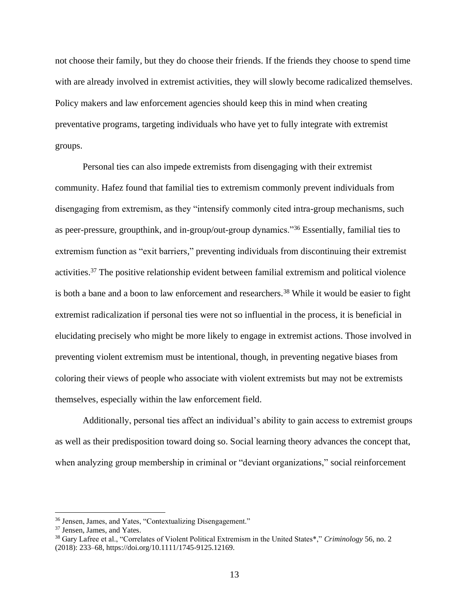not choose their family, but they do choose their friends. If the friends they choose to spend time with are already involved in extremist activities, they will slowly become radicalized themselves. Policy makers and law enforcement agencies should keep this in mind when creating preventative programs, targeting individuals who have yet to fully integrate with extremist groups.

Personal ties can also impede extremists from disengaging with their extremist community. Hafez found that familial ties to extremism commonly prevent individuals from disengaging from extremism, as they "intensify commonly cited intra-group mechanisms, such as peer-pressure, groupthink, and in-group/out-group dynamics."<sup>36</sup> Essentially, familial ties to extremism function as "exit barriers," preventing individuals from discontinuing their extremist activities.<sup>37</sup> The positive relationship evident between familial extremism and political violence is both a bane and a boon to law enforcement and researchers.<sup>38</sup> While it would be easier to fight extremist radicalization if personal ties were not so influential in the process, it is beneficial in elucidating precisely who might be more likely to engage in extremist actions. Those involved in preventing violent extremism must be intentional, though, in preventing negative biases from coloring their views of people who associate with violent extremists but may not be extremists themselves, especially within the law enforcement field.

Additionally, personal ties affect an individual's ability to gain access to extremist groups as well as their predisposition toward doing so. Social learning theory advances the concept that, when analyzing group membership in criminal or "deviant organizations," social reinforcement

<sup>36</sup> Jensen, James, and Yates, "Contextualizing Disengagement."

<sup>37</sup> Jensen, James, and Yates.

<sup>38</sup> Gary Lafree et al., "Correlates of Violent Political Extremism in the United States\*," *Criminology* 56, no. 2 (2018): 233–68, https://doi.org/10.1111/1745-9125.12169.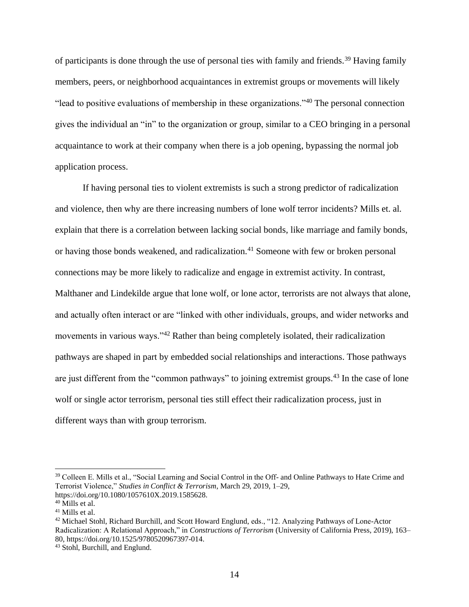of participants is done through the use of personal ties with family and friends.<sup>39</sup> Having family members, peers, or neighborhood acquaintances in extremist groups or movements will likely "lead to positive evaluations of membership in these organizations."<sup>40</sup> The personal connection gives the individual an "in" to the organization or group, similar to a CEO bringing in a personal acquaintance to work at their company when there is a job opening, bypassing the normal job application process.

If having personal ties to violent extremists is such a strong predictor of radicalization and violence, then why are there increasing numbers of lone wolf terror incidents? Mills et. al. explain that there is a correlation between lacking social bonds, like marriage and family bonds, or having those bonds weakened, and radicalization.<sup>41</sup> Someone with few or broken personal connections may be more likely to radicalize and engage in extremist activity. In contrast, Malthaner and Lindekilde argue that lone wolf, or lone actor, terrorists are not always that alone, and actually often interact or are "linked with other individuals, groups, and wider networks and movements in various ways."<sup>42</sup> Rather than being completely isolated, their radicalization pathways are shaped in part by embedded social relationships and interactions. Those pathways are just different from the "common pathways" to joining extremist groups.<sup>43</sup> In the case of lone wolf or single actor terrorism, personal ties still effect their radicalization process, just in different ways than with group terrorism.

<sup>42</sup> Michael Stohl, Richard Burchill, and Scott Howard Englund, eds., "12. Analyzing Pathways of Lone-Actor Radicalization: A Relational Approach," in *Constructions of Terrorism* (University of California Press, 2019), 163– 80, https://doi.org/10.1525/9780520967397-014.

<sup>39</sup> Colleen E. Mills et al., "Social Learning and Social Control in the Off- and Online Pathways to Hate Crime and Terrorist Violence," *Studies in Conflict & Terrorism*, March 29, 2019, 1–29, https://doi.org/10.1080/1057610X.2019.1585628.

 $40$  Mills et al.

<sup>41</sup> Mills et al.

<sup>43</sup> Stohl, Burchill, and Englund.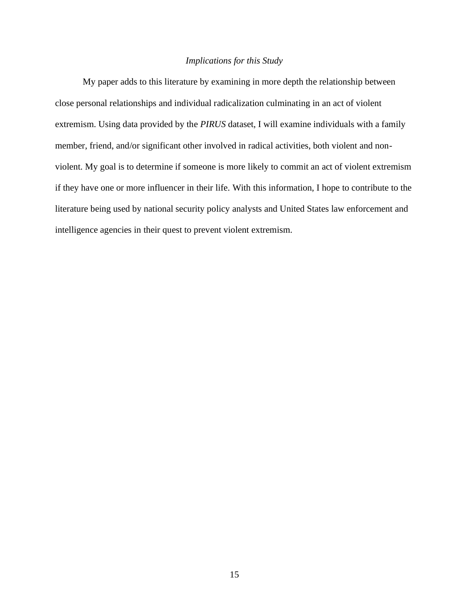#### *Implications for this Study*

<span id="page-20-0"></span>My paper adds to this literature by examining in more depth the relationship between close personal relationships and individual radicalization culminating in an act of violent extremism. Using data provided by the *PIRUS* dataset, I will examine individuals with a family member, friend, and/or significant other involved in radical activities, both violent and nonviolent. My goal is to determine if someone is more likely to commit an act of violent extremism if they have one or more influencer in their life. With this information, I hope to contribute to the literature being used by national security policy analysts and United States law enforcement and intelligence agencies in their quest to prevent violent extremism.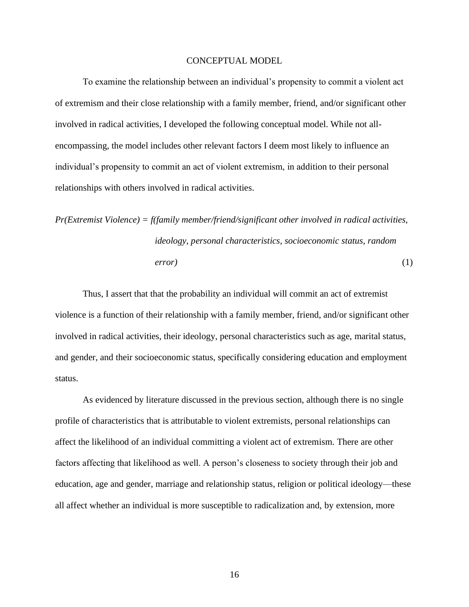#### CONCEPTUAL MODEL

<span id="page-21-0"></span>To examine the relationship between an individual's propensity to commit a violent act of extremism and their close relationship with a family member, friend, and/or significant other involved in radical activities, I developed the following conceptual model. While not allencompassing, the model includes other relevant factors I deem most likely to influence an individual's propensity to commit an act of violent extremism, in addition to their personal relationships with others involved in radical activities.

$$
Pr(Extremist \text{ Violence}) = f(family member/friend/significant \text{ other involved in radical activities},\n \text{ideology, personal characteristics, socioeconomic status, random}\n \text{error})
$$
\n(1)

Thus, I assert that that the probability an individual will commit an act of extremist violence is a function of their relationship with a family member, friend, and/or significant other involved in radical activities, their ideology, personal characteristics such as age, marital status, and gender, and their socioeconomic status, specifically considering education and employment status.

As evidenced by literature discussed in the previous section, although there is no single profile of characteristics that is attributable to violent extremists, personal relationships can affect the likelihood of an individual committing a violent act of extremism. There are other factors affecting that likelihood as well. A person's closeness to society through their job and education, age and gender, marriage and relationship status, religion or political ideology—these all affect whether an individual is more susceptible to radicalization and, by extension, more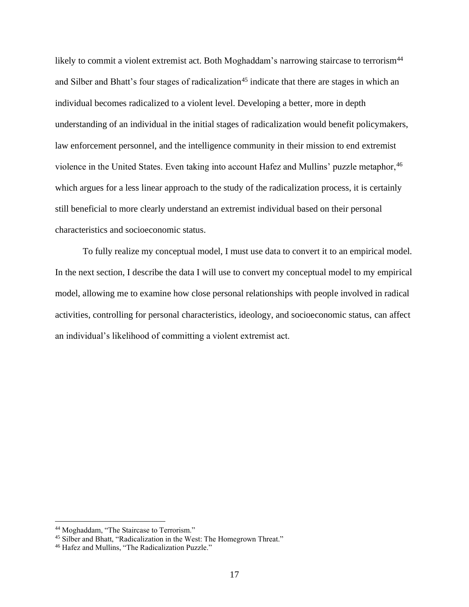likely to commit a violent extremist act. Both Moghaddam's narrowing staircase to terrorism<sup>44</sup> and Silber and Bhatt's four stages of radicalization<sup>45</sup> indicate that there are stages in which an individual becomes radicalized to a violent level. Developing a better, more in depth understanding of an individual in the initial stages of radicalization would benefit policymakers, law enforcement personnel, and the intelligence community in their mission to end extremist violence in the United States. Even taking into account Hafez and Mullins' puzzle metaphor, 46 which argues for a less linear approach to the study of the radicalization process, it is certainly still beneficial to more clearly understand an extremist individual based on their personal characteristics and socioeconomic status.

To fully realize my conceptual model, I must use data to convert it to an empirical model. In the next section, I describe the data I will use to convert my conceptual model to my empirical model, allowing me to examine how close personal relationships with people involved in radical activities, controlling for personal characteristics, ideology, and socioeconomic status, can affect an individual's likelihood of committing a violent extremist act.

<sup>44</sup> Moghaddam, "The Staircase to Terrorism."

<sup>45</sup> Silber and Bhatt, "Radicalization in the West: The Homegrown Threat."

<sup>46</sup> Hafez and Mullins, "The Radicalization Puzzle."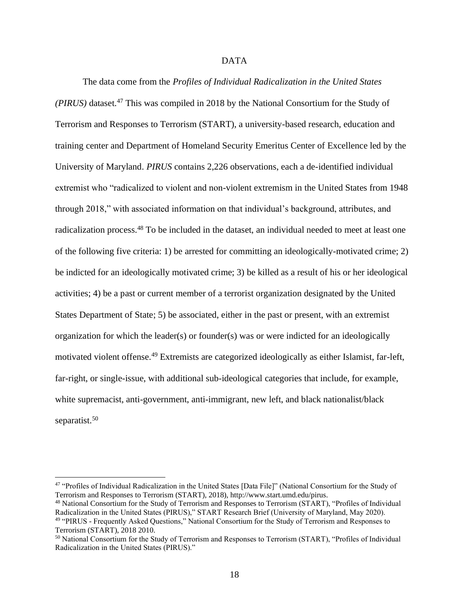#### DATA

<span id="page-23-0"></span>The data come from the *Profiles of Individual Radicalization in the United States (PIRUS)* dataset.<sup>47</sup> This was compiled in 2018 by the National Consortium for the Study of Terrorism and Responses to Terrorism (START), a university-based research, education and training center and Department of Homeland Security Emeritus Center of Excellence led by the University of Maryland. *PIRUS* contains 2,226 observations, each a de-identified individual extremist who "radicalized to violent and non-violent extremism in the United States from 1948 through 2018," with associated information on that individual's background, attributes, and radicalization process.<sup>48</sup> To be included in the dataset, an individual needed to meet at least one of the following five criteria: 1) be arrested for committing an ideologically-motivated crime; 2) be indicted for an ideologically motivated crime; 3) be killed as a result of his or her ideological activities; 4) be a past or current member of a terrorist organization designated by the United States Department of State; 5) be associated, either in the past or present, with an extremist organization for which the leader(s) or founder(s) was or were indicted for an ideologically motivated violent offense.<sup>49</sup> Extremists are categorized ideologically as either Islamist, far-left, far-right, or single-issue, with additional sub-ideological categories that include, for example, white supremacist, anti-government, anti-immigrant, new left, and black nationalist/black separatist.<sup>50</sup>

<sup>47</sup> "Profiles of Individual Radicalization in the United States [Data File]" (National Consortium for the Study of Terrorism and Responses to Terrorism (START), 2018), http://www.start.umd.edu/pirus.

<sup>48</sup> National Consortium for the Study of Terrorism and Responses to Terrorism (START), "Profiles of Individual Radicalization in the United States (PIRUS)," START Research Brief (University of Maryland, May 2020). <sup>49</sup> "PIRUS - Frequently Asked Questions," National Consortium for the Study of Terrorism and Responses to Terrorism (START), 2018 2010.

<sup>50</sup> National Consortium for the Study of Terrorism and Responses to Terrorism (START), "Profiles of Individual Radicalization in the United States (PIRUS)."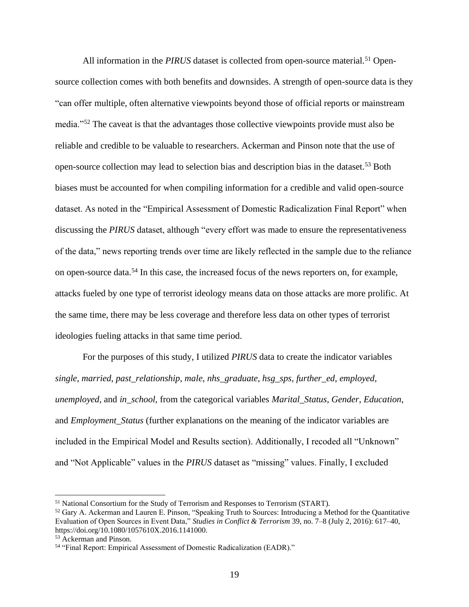All information in the *PIRUS* dataset is collected from open-source material.<sup>51</sup> Opensource collection comes with both benefits and downsides. A strength of open-source data is they "can offer multiple, often alternative viewpoints beyond those of official reports or mainstream media."<sup>52</sup> The caveat is that the advantages those collective viewpoints provide must also be reliable and credible to be valuable to researchers. Ackerman and Pinson note that the use of open-source collection may lead to selection bias and description bias in the dataset.<sup>53</sup> Both biases must be accounted for when compiling information for a credible and valid open-source dataset. As noted in the "Empirical Assessment of Domestic Radicalization Final Report" when discussing the *PIRUS* dataset, although "every effort was made to ensure the representativeness of the data," news reporting trends over time are likely reflected in the sample due to the reliance on open-source data.<sup>54</sup> In this case, the increased focus of the news reporters on, for example, attacks fueled by one type of terrorist ideology means data on those attacks are more prolific. At the same time, there may be less coverage and therefore less data on other types of terrorist ideologies fueling attacks in that same time period.

For the purposes of this study, I utilized *PIRUS* data to create the indicator variables *single*, *married*, *past\_relationship*, *male*, *nhs\_graduate*, *hsg\_sps*, *further\_ed*, *employed*, *unemployed*, and *in\_school*, from the categorical variables *Marital\_Status*, *Gender*, *Education*, and *Employment\_Status* (further explanations on the meaning of the indicator variables are included in the Empirical Model and Results section). Additionally, I recoded all "Unknown" and "Not Applicable" values in the *PIRUS* dataset as "missing" values. Finally, I excluded

<sup>51</sup> National Consortium for the Study of Terrorism and Responses to Terrorism (START).

<sup>52</sup> Gary A. Ackerman and Lauren E. Pinson, "Speaking Truth to Sources: Introducing a Method for the Quantitative Evaluation of Open Sources in Event Data," *Studies in Conflict & Terrorism* 39, no. 7–8 (July 2, 2016): 617–40, https://doi.org/10.1080/1057610X.2016.1141000.

<sup>53</sup> Ackerman and Pinson.

<sup>54</sup> "Final Report: Empirical Assessment of Domestic Radicalization (EADR)."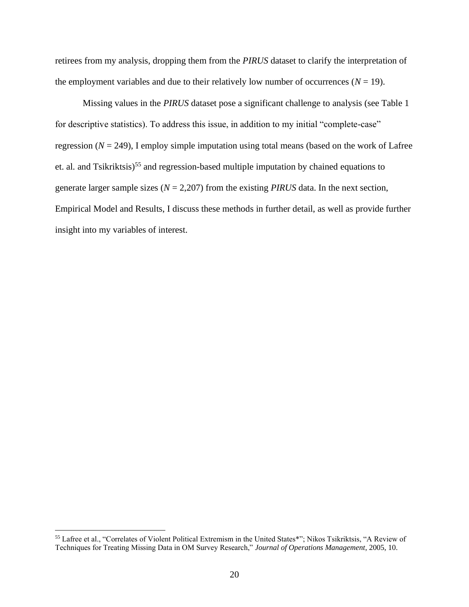retirees from my analysis, dropping them from the *PIRUS* dataset to clarify the interpretation of the employment variables and due to their relatively low number of occurrences  $(N = 19)$ .

Missing values in the *PIRUS* dataset pose a significant challenge to analysis (see Table 1 for descriptive statistics). To address this issue, in addition to my initial "complete-case" regression  $(N = 249)$ , I employ simple imputation using total means (based on the work of Lafree et. al. and Tsikriktsis)<sup>55</sup> and regression-based multiple imputation by chained equations to generate larger sample sizes (*N* = 2,207) from the existing *PIRUS* data. In the next section, Empirical Model and Results, I discuss these methods in further detail, as well as provide further insight into my variables of interest.

<sup>55</sup> Lafree et al., "Correlates of Violent Political Extremism in the United States\*"; Nikos Tsikriktsis, "A Review of Techniques for Treating Missing Data in OM Survey Research," *Journal of Operations Management*, 2005, 10.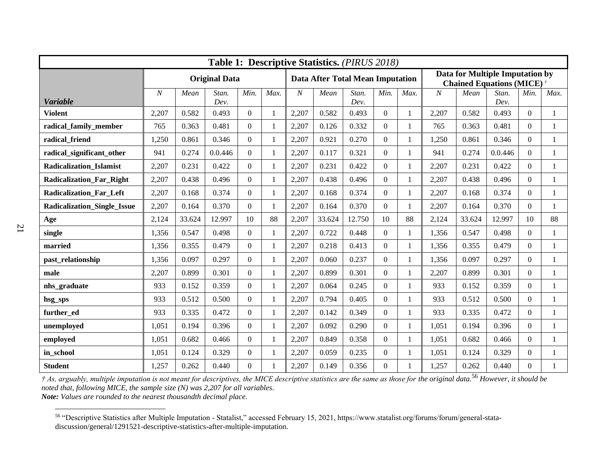| Table 1: Descriptive Statistics. (PIRUS 2018) |                      |        |               |                |              |                                         |        |               |                |                                                                    |                  |        |               |                |              |
|-----------------------------------------------|----------------------|--------|---------------|----------------|--------------|-----------------------------------------|--------|---------------|----------------|--------------------------------------------------------------------|------------------|--------|---------------|----------------|--------------|
|                                               | <b>Original Data</b> |        |               |                |              | <b>Data After Total Mean Imputation</b> |        |               |                | Data for Multiple Imputation by<br><b>Chained Equations (MICE)</b> |                  |        |               |                |              |
| <b>Variable</b>                               | $\overline{N}$       | Mean   | Stan.<br>Dev. | Min.           | Max.         | $\boldsymbol{N}$                        | Mean   | Stan.<br>Dev. | Min.           | Max.                                                               | $\boldsymbol{N}$ | Mean   | Stan.<br>Dev. | Min.           | Max.         |
| <b>Violent</b>                                | 2,207                | 0.582  | 0.493         | $\Omega$       | $\mathbf{1}$ | 2,207                                   | 0.582  | 0.493         | $\Omega$       | 1                                                                  | 2,207            | 0.582  | 0.493         | $\Omega$       | $\mathbf{1}$ |
| radical_family_member                         | 765                  | 0.363  | 0.481         | $\mathbf{0}$   | $\mathbf{1}$ | 2,207                                   | 0.126  | 0.332         | $\overline{0}$ |                                                                    | 765              | 0.363  | 0.481         | $\overline{0}$ | $\mathbf{1}$ |
| radical_friend                                | 1,250                | 0.861  | 0.346         | $\Omega$       | $\mathbf{1}$ | 2,207                                   | 0.921  | 0.270         | $\Omega$       |                                                                    | 1,250            | 0.861  | 0.346         | $\Omega$       | $\mathbf{1}$ |
| radical significant other                     | 941                  | 0.274  | 0.0.446       | $\Omega$       | $\mathbf{1}$ | 2,207                                   | 0.117  | 0.321         | $\Omega$       |                                                                    | 941              | 0.274  | 0.0.446       | $\Omega$       | $\mathbf{1}$ |
| <b>Radicalization Islamist</b>                | 2,207                | 0.231  | 0.422         | $\Omega$       | 1            | 2,207                                   | 0.231  | 0.422         | $\Omega$       |                                                                    | 2,207            | 0.231  | 0.422         | $\Omega$       | $\mathbf{1}$ |
| <b>Radicalization_Far_Right</b>               | 2,207                | 0.438  | 0.496         | $\overline{0}$ | $\mathbf{1}$ | 2,207                                   | 0.438  | 0.496         | $\overline{0}$ |                                                                    | 2,207            | 0.438  | 0.496         | $\overline{0}$ | $\mathbf{1}$ |
| <b>Radicalization Far Left</b>                | 2,207                | 0.168  | 0.374         | $\Omega$       | 1            | 2,207                                   | 0.168  | 0.374         | $\Omega$       |                                                                    | 2,207            | 0.168  | 0.374         | $\Omega$       | 1            |
| <b>Radicalization Single Issue</b>            | 2,207                | 0.164  | 0.370         | $\Omega$       | $\mathbf{1}$ | 2,207                                   | 0.164  | 0.370         | $\Omega$       | 1                                                                  | 2,207            | 0.164  | 0.370         | $\Omega$       | $\mathbf{1}$ |
| Age                                           | 2,124                | 33.624 | 12.997        | 10             | 88           | 2,207                                   | 33.624 | 12.750        | 10             | 88                                                                 | 2,124            | 33.624 | 12.997        | 10             | 88           |
| single                                        | 1,356                | 0.547  | 0.498         | $\mathbf{0}$   | $\mathbf{1}$ | 2,207                                   | 0.722  | 0.448         | $\overline{0}$ |                                                                    | 1,356            | 0.547  | 0.498         | $\Omega$       | $\mathbf{1}$ |
| married                                       | 1,356                | 0.355  | 0.479         | $\Omega$       | $\mathbf{1}$ | 2,207                                   | 0.218  | 0.413         | $\Omega$       |                                                                    | 1,356            | 0.355  | 0.479         | $\Omega$       | $\mathbf{1}$ |
| past relationship                             | 1,356                | 0.097  | 0.297         | $\Omega$       | 1            | 2,207                                   | 0.060  | 0.237         | $\Omega$       | 1                                                                  | 1,356            | 0.097  | 0.297         | $\Omega$       | $\mathbf{1}$ |
| male                                          | 2,207                | 0.899  | 0.301         | $\mathbf{0}$   | $\mathbf{1}$ | 2,207                                   | 0.899  | 0.301         | $\overline{0}$ |                                                                    | 2,207            | 0.899  | 0.301         | $\Omega$       | $\mathbf{1}$ |
| nhs_graduate                                  | 933                  | 0.152  | 0.359         | $\mathbf{0}$   | 1            | 2,207                                   | 0.064  | 0.245         | $\Omega$       |                                                                    | 933              | 0.152  | 0.359         | $\Omega$       | 1            |
| hsg_sps                                       | 933                  | 0.512  | 0.500         | $\Omega$       | 1            | 2,207                                   | 0.794  | 0.405         | $\Omega$       |                                                                    | 933              | 0.512  | 0.500         | $\Omega$       | 1            |
| further_ed                                    | 933                  | 0.335  | 0.472         | $\mathbf{0}$   | $\mathbf{1}$ | 2,207                                   | 0.142  | 0.349         | $\overline{0}$ |                                                                    | 933              | 0.335  | 0.472         | $\Omega$       | 1            |
| unemployed                                    | 1,051                | 0.194  | 0.396         | $\mathbf{0}$   | $\mathbf{1}$ | 2,207                                   | 0.092  | 0.290         | $\Omega$       |                                                                    | 1,051            | 0.194  | 0.396         | $\Omega$       | $\mathbf{1}$ |
| employed                                      | 1,051                | 0.682  | 0.466         | $\Omega$       | 1            | 2,207                                   | 0.849  | 0.358         | $\Omega$       |                                                                    | 1,051            | 0.682  | 0.466         | $\Omega$       | $\mathbf{1}$ |
| in_school                                     | 1,051                | 0.124  | 0.329         | $\Omega$       | 1            | 2,207                                   | 0.059  | 0.235         | $\Omega$       | 1                                                                  | 1,051            | 0.124  | 0.329         | $\Omega$       | $\mathbf{1}$ |
| <b>Student</b>                                | 1,257                | 0.262  | 0.440         | $\Omega$       |              | 2,207                                   | 0.149  | 0.356         | $\Omega$       |                                                                    | 1,257            | 0.262  | 0.440         | $\Omega$       |              |

*† As, arguably, multiple imputation is not meant for descriptives, the MICE descriptive statistics are the same as those for the original data.*<sup>56</sup> *However, it should be noted that, following MICE, the sample size (N) was 2,207 for all variables. Note: Values are rounded to the nearest thousandth decimal place.*

<sup>56</sup> "Descriptive Statistics after Multiple Imputation - Statalist," accessed February 15, 2021, https://www.statalist.org/forums/forum/general-statadiscussion/general/1291521-descriptive-statistics-after-multiple-imputation.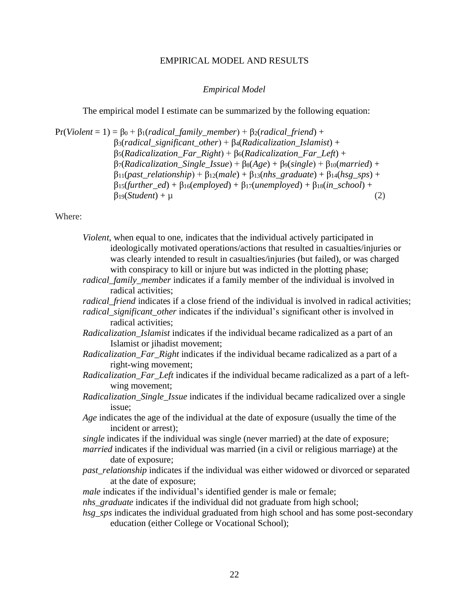#### EMPIRICAL MODEL AND RESULTS

#### *Empirical Model*

<span id="page-27-1"></span><span id="page-27-0"></span>The empirical model I estimate can be summarized by the following equation:

 $Pr(Violent = 1) = \beta_0 + \beta_1(radical\_family\_member) + \beta_2(radical\_friend) +$ β3(*radical\_significant\_other*) + β4(*Radicalization\_Islamist*) + β5(*Radicalization\_Far\_Right*) + β6(*Radicalization\_Far\_Left*) +  $\beta$ <sub>7</sub>(*Radicalization\_Single\_Issue*) +  $\beta_8(Age) + \beta_9(single) + \beta_{10}(married) +$ β11(*past\_relationship*) + β12(*male*) + β13(*nhs\_graduate*) + β14(*hsg\_sps*) + β15(*further\_ed*) + β16(*employed*) + β17(*unemployed*) + β18(*in\_school*) +  $\beta_{19}(Student) + \mu$  (2)

Where:

| <i>Violent</i> , when equal to one, indicates that the individual actively participated in |  |  |  |  |  |  |  |  |  |
|--------------------------------------------------------------------------------------------|--|--|--|--|--|--|--|--|--|
| ideologically motivated operations/actions that resulted in casualties/injuries or         |  |  |  |  |  |  |  |  |  |
| was clearly intended to result in casualties/injuries (but failed), or was charged         |  |  |  |  |  |  |  |  |  |
| with conspiracy to kill or injure but was indicted in the plotting phase;                  |  |  |  |  |  |  |  |  |  |
|                                                                                            |  |  |  |  |  |  |  |  |  |

- *radical\_family\_member* indicates if a family member of the individual is involved in radical activities;
- *radical\_friend* indicates if a close friend of the individual is involved in radical activities; *radical\_significant\_other* indicates if the individual's significant other is involved in radical activities;
- *Radicalization\_Islamist* indicates if the individual became radicalized as a part of an Islamist or jihadist movement;
- *Radicalization\_Far\_Right* indicates if the individual became radicalized as a part of a right-wing movement;
- *Radicalization\_Far\_Left* indicates if the individual became radicalized as a part of a leftwing movement;
- *Radicalization\_Single\_Issue* indicates if the individual became radicalized over a single issue;
- *Age* indicates the age of the individual at the date of exposure (usually the time of the incident or arrest);
- *single* indicates if the individual was single (never married) at the date of exposure;
- *married* indicates if the individual was married (in a civil or religious marriage) at the date of exposure;
- *past\_relationship* indicates if the individual was either widowed or divorced or separated at the date of exposure;
- *male* indicates if the individual's identified gender is male or female;
- *nhs\_graduate* indicates if the individual did not graduate from high school;
- *hsg\_sps* indicates the individual graduated from high school and has some post-secondary education (either College or Vocational School);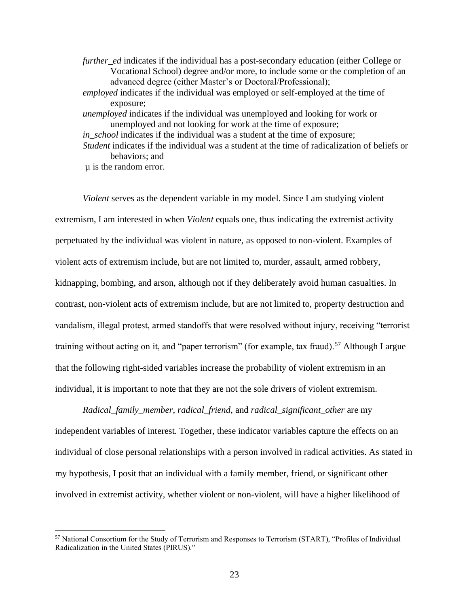*further ed* indicates if the individual has a post-secondary education (either College or Vocational School) degree and/or more, to include some or the completion of an advanced degree (either Master's or Doctoral/Professional); *employed* indicates if the individual was employed or self-employed at the time of exposure; *unemployed* indicates if the individual was unemployed and looking for work or unemployed and not looking for work at the time of exposure; *in\_school* indicates if the individual was a student at the time of exposure; *Student* indicates if the individual was a student at the time of radicalization of beliefs or behaviors; and µ is the random error.

*Violent* serves as the dependent variable in my model. Since I am studying violent extremism, I am interested in when *Violent* equals one, thus indicating the extremist activity perpetuated by the individual was violent in nature, as opposed to non-violent. Examples of violent acts of extremism include, but are not limited to, murder, assault, armed robbery, kidnapping, bombing, and arson, although not if they deliberately avoid human casualties. In contrast, non-violent acts of extremism include, but are not limited to, property destruction and vandalism, illegal protest, armed standoffs that were resolved without injury, receiving "terrorist training without acting on it, and "paper terrorism" (for example, tax fraud).<sup>57</sup> Although I argue that the following right-sided variables increase the probability of violent extremism in an individual, it is important to note that they are not the sole drivers of violent extremism.

*Radical\_family\_member*, *radical\_friend*, and *radical\_significant\_other* are my independent variables of interest. Together, these indicator variables capture the effects on an individual of close personal relationships with a person involved in radical activities. As stated in my hypothesis, I posit that an individual with a family member, friend, or significant other involved in extremist activity, whether violent or non-violent, will have a higher likelihood of

<sup>57</sup> National Consortium for the Study of Terrorism and Responses to Terrorism (START), "Profiles of Individual Radicalization in the United States (PIRUS)."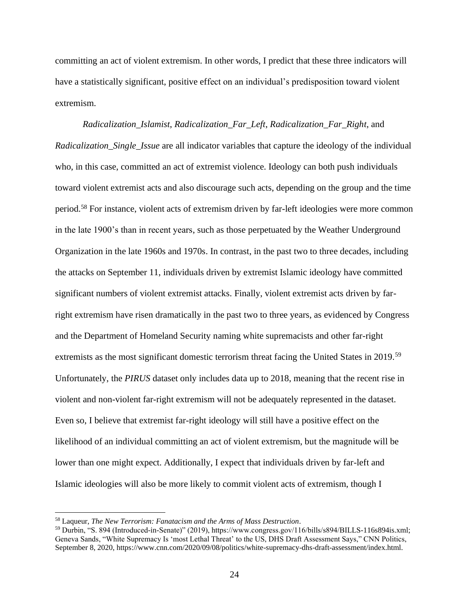committing an act of violent extremism. In other words, I predict that these three indicators will have a statistically significant, positive effect on an individual's predisposition toward violent extremism.

*Radicalization\_Islamist*, *Radicalization\_Far\_Left*, *Radicalization\_Far\_Right*, and *Radicalization\_Single\_Issue* are all indicator variables that capture the ideology of the individual who, in this case, committed an act of extremist violence. Ideology can both push individuals toward violent extremist acts and also discourage such acts, depending on the group and the time period.<sup>58</sup> For instance, violent acts of extremism driven by far-left ideologies were more common in the late 1900's than in recent years, such as those perpetuated by the Weather Underground Organization in the late 1960s and 1970s. In contrast, in the past two to three decades, including the attacks on September 11, individuals driven by extremist Islamic ideology have committed significant numbers of violent extremist attacks. Finally, violent extremist acts driven by farright extremism have risen dramatically in the past two to three years, as evidenced by Congress and the Department of Homeland Security naming white supremacists and other far-right extremists as the most significant domestic terrorism threat facing the United States in 2019.<sup>59</sup> Unfortunately, the *PIRUS* dataset only includes data up to 2018, meaning that the recent rise in violent and non-violent far-right extremism will not be adequately represented in the dataset. Even so, I believe that extremist far-right ideology will still have a positive effect on the likelihood of an individual committing an act of violent extremism, but the magnitude will be lower than one might expect. Additionally, I expect that individuals driven by far-left and Islamic ideologies will also be more likely to commit violent acts of extremism, though I

<sup>58</sup> Laqueur, *The New Terrorism: Fanatacism and the Arms of Mass Destruction*.

<sup>59</sup> Durbin, "S. 894 (Introduced-in-Senate)" (2019), https://www.congress.gov/116/bills/s894/BILLS-116s894is.xml; Geneva Sands, "White Supremacy Is 'most Lethal Threat' to the US, DHS Draft Assessment Says," CNN Politics, September 8, 2020, https://www.cnn.com/2020/09/08/politics/white-supremacy-dhs-draft-assessment/index.html.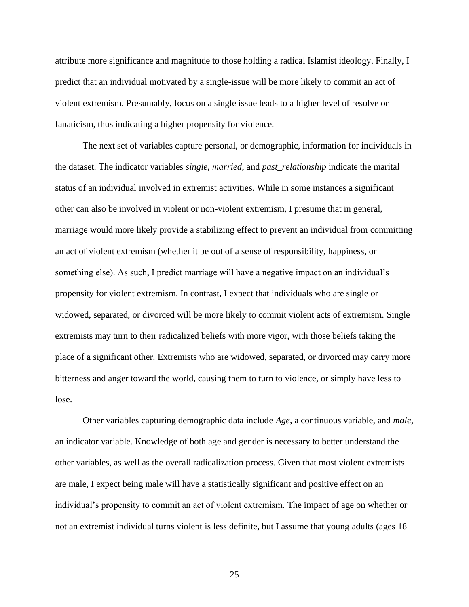attribute more significance and magnitude to those holding a radical Islamist ideology. Finally, I predict that an individual motivated by a single-issue will be more likely to commit an act of violent extremism. Presumably, focus on a single issue leads to a higher level of resolve or fanaticism, thus indicating a higher propensity for violence.

The next set of variables capture personal, or demographic, information for individuals in the dataset. The indicator variables *single*, *married*, and *past\_relationship* indicate the marital status of an individual involved in extremist activities. While in some instances a significant other can also be involved in violent or non-violent extremism, I presume that in general, marriage would more likely provide a stabilizing effect to prevent an individual from committing an act of violent extremism (whether it be out of a sense of responsibility, happiness, or something else). As such, I predict marriage will have a negative impact on an individual's propensity for violent extremism. In contrast, I expect that individuals who are single or widowed, separated, or divorced will be more likely to commit violent acts of extremism. Single extremists may turn to their radicalized beliefs with more vigor, with those beliefs taking the place of a significant other. Extremists who are widowed, separated, or divorced may carry more bitterness and anger toward the world, causing them to turn to violence, or simply have less to lose.

Other variables capturing demographic data include *Age*, a continuous variable, and *male*, an indicator variable. Knowledge of both age and gender is necessary to better understand the other variables, as well as the overall radicalization process. Given that most violent extremists are male, I expect being male will have a statistically significant and positive effect on an individual's propensity to commit an act of violent extremism. The impact of age on whether or not an extremist individual turns violent is less definite, but I assume that young adults (ages 18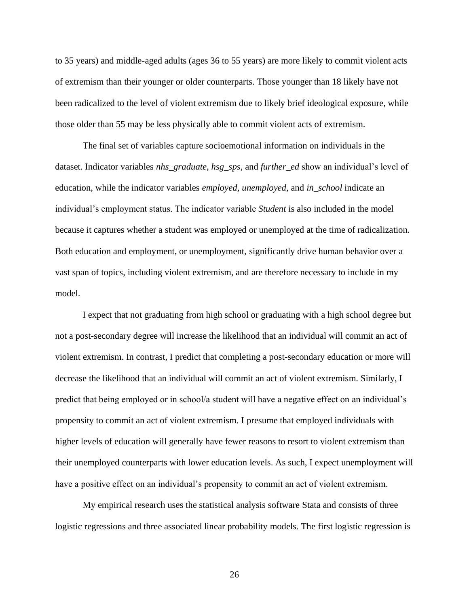to 35 years) and middle-aged adults (ages 36 to 55 years) are more likely to commit violent acts of extremism than their younger or older counterparts. Those younger than 18 likely have not been radicalized to the level of violent extremism due to likely brief ideological exposure, while those older than 55 may be less physically able to commit violent acts of extremism.

The final set of variables capture socioemotional information on individuals in the dataset. Indicator variables *nhs\_graduate*, *hsg\_sps*, and *further\_ed* show an individual's level of education, while the indicator variables *employed*, *unemployed*, and *in\_school* indicate an individual's employment status. The indicator variable *Student* is also included in the model because it captures whether a student was employed or unemployed at the time of radicalization. Both education and employment, or unemployment, significantly drive human behavior over a vast span of topics, including violent extremism, and are therefore necessary to include in my model.

I expect that not graduating from high school or graduating with a high school degree but not a post-secondary degree will increase the likelihood that an individual will commit an act of violent extremism. In contrast, I predict that completing a post-secondary education or more will decrease the likelihood that an individual will commit an act of violent extremism. Similarly, I predict that being employed or in school/a student will have a negative effect on an individual's propensity to commit an act of violent extremism. I presume that employed individuals with higher levels of education will generally have fewer reasons to resort to violent extremism than their unemployed counterparts with lower education levels. As such, I expect unemployment will have a positive effect on an individual's propensity to commit an act of violent extremism.

My empirical research uses the statistical analysis software Stata and consists of three logistic regressions and three associated linear probability models. The first logistic regression is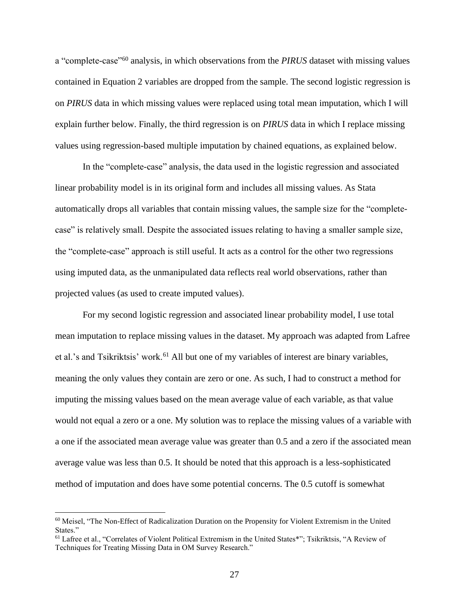a "complete-case"<sup>60</sup> analysis, in which observations from the *PIRUS* dataset with missing values contained in Equation 2 variables are dropped from the sample. The second logistic regression is on *PIRUS* data in which missing values were replaced using total mean imputation, which I will explain further below. Finally, the third regression is on *PIRUS* data in which I replace missing values using regression-based multiple imputation by chained equations, as explained below.

In the "complete-case" analysis, the data used in the logistic regression and associated linear probability model is in its original form and includes all missing values. As Stata automatically drops all variables that contain missing values, the sample size for the "completecase" is relatively small. Despite the associated issues relating to having a smaller sample size, the "complete-case" approach is still useful. It acts as a control for the other two regressions using imputed data, as the unmanipulated data reflects real world observations, rather than projected values (as used to create imputed values).

For my second logistic regression and associated linear probability model, I use total mean imputation to replace missing values in the dataset. My approach was adapted from Lafree et al.'s and Tsikriktsis' work.<sup>61</sup> All but one of my variables of interest are binary variables, meaning the only values they contain are zero or one. As such, I had to construct a method for imputing the missing values based on the mean average value of each variable, as that value would not equal a zero or a one. My solution was to replace the missing values of a variable with a one if the associated mean average value was greater than 0.5 and a zero if the associated mean average value was less than 0.5. It should be noted that this approach is a less-sophisticated method of imputation and does have some potential concerns. The 0.5 cutoff is somewhat

<sup>60</sup> Meisel, "The Non-Effect of Radicalization Duration on the Propensity for Violent Extremism in the United States."

<sup>61</sup> Lafree et al., "Correlates of Violent Political Extremism in the United States\*"; Tsikriktsis, "A Review of Techniques for Treating Missing Data in OM Survey Research."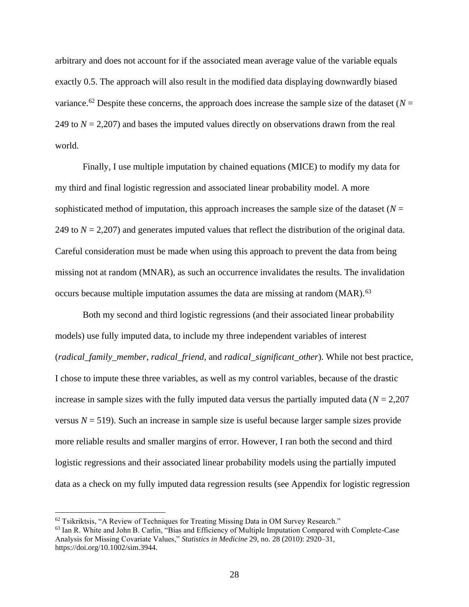arbitrary and does not account for if the associated mean average value of the variable equals exactly 0.5. The approach will also result in the modified data displaying downwardly biased variance.<sup>62</sup> Despite these concerns, the approach does increase the sample size of the dataset ( $N =$ 249 to *N* = 2,207) and bases the imputed values directly on observations drawn from the real world.

Finally, I use multiple imputation by chained equations (MICE) to modify my data for my third and final logistic regression and associated linear probability model. A more sophisticated method of imputation, this approach increases the sample size of the dataset  $(N =$ 249 to *N* = 2,207) and generates imputed values that reflect the distribution of the original data. Careful consideration must be made when using this approach to prevent the data from being missing not at random (MNAR), as such an occurrence invalidates the results. The invalidation occurs because multiple imputation assumes the data are missing at random (MAR).<sup>63</sup>

Both my second and third logistic regressions (and their associated linear probability models) use fully imputed data, to include my three independent variables of interest (*radical\_family\_member*, *radical\_friend*, and *radical\_significant\_other*). While not best practice, I chose to impute these three variables, as well as my control variables, because of the drastic increase in sample sizes with the fully imputed data versus the partially imputed data ( $N = 2,207$ ) versus  $N = 519$ ). Such an increase in sample size is useful because larger sample sizes provide more reliable results and smaller margins of error. However, I ran both the second and third logistic regressions and their associated linear probability models using the partially imputed data as a check on my fully imputed data regression results (see Appendix for logistic regression

 $62$  Tsikriktsis, "A Review of Techniques for Treating Missing Data in OM Survey Research."

<sup>63</sup> Ian R. White and John B. Carlin, "Bias and Efficiency of Multiple Imputation Compared with Complete-Case Analysis for Missing Covariate Values," *Statistics in Medicine* 29, no. 28 (2010): 2920–31, https://doi.org/10.1002/sim.3944.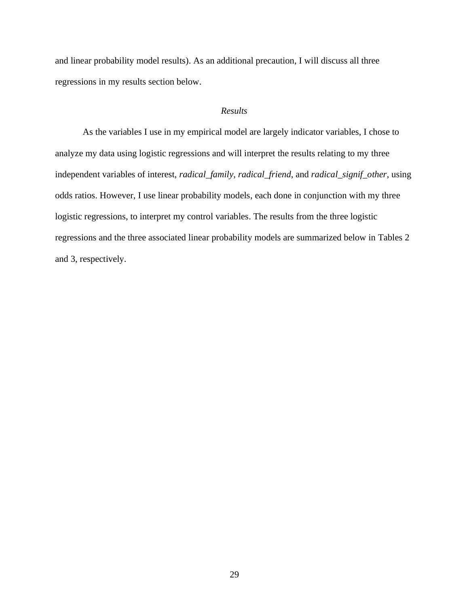and linear probability model results). As an additional precaution, I will discuss all three regressions in my results section below.

#### *Results*

<span id="page-34-0"></span>As the variables I use in my empirical model are largely indicator variables, I chose to analyze my data using logistic regressions and will interpret the results relating to my three independent variables of interest, *radical\_family*, *radical\_friend*, and *radical\_signif\_other*, using odds ratios. However, I use linear probability models, each done in conjunction with my three logistic regressions, to interpret my control variables. The results from the three logistic regressions and the three associated linear probability models are summarized below in Tables 2 and 3, respectively.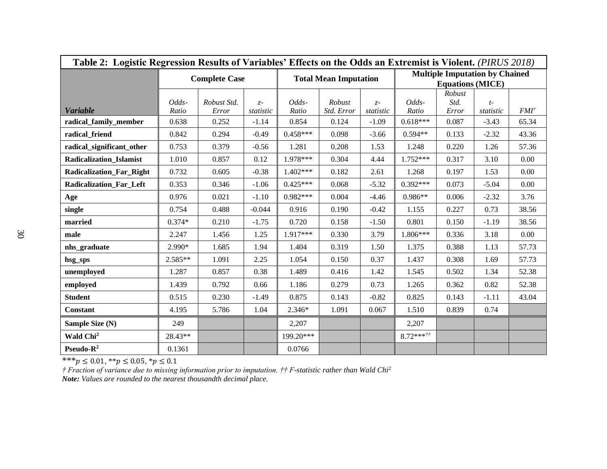| Table 2: Logistic Regression Results of Variables' Effects on the Odds an Extremist is Violent. (PIRUS 2018) |                |                      |                    |                |                              |                    |                |                                                                  |                   |                 |  |  |  |
|--------------------------------------------------------------------------------------------------------------|----------------|----------------------|--------------------|----------------|------------------------------|--------------------|----------------|------------------------------------------------------------------|-------------------|-----------------|--|--|--|
|                                                                                                              |                | <b>Complete Case</b> |                    |                | <b>Total Mean Imputation</b> |                    |                | <b>Multiple Imputation by Chained</b><br><b>Equations (MICE)</b> |                   |                 |  |  |  |
| <b>Variable</b>                                                                                              | Odds-<br>Ratio | Robust Std.<br>Error | $Z -$<br>statistic | Odds-<br>Ratio | Robust<br>Std. Error         | $Z -$<br>statistic | Odds-<br>Ratio | Robust<br>Std.<br>Error                                          | $t-$<br>statistic | $FMI^{\dagger}$ |  |  |  |
| radical_family_member                                                                                        | 0.638          | 0.252                | $-1.14$            | 0.854          | 0.124                        | $-1.09$            | $0.618***$     | 0.087                                                            | $-3.43$           | 65.34           |  |  |  |
| radical_friend                                                                                               | 0.842          | 0.294                | $-0.49$            | $0.458***$     | 0.098                        | $-3.66$            | $0.594**$      | 0.133                                                            | $-2.32$           | 43.36           |  |  |  |
| radical_significant_other                                                                                    | 0.753          | 0.379                | $-0.56$            | 1.281          | 0.208                        | 1.53               | 1.248          | 0.220                                                            | 1.26              | 57.36           |  |  |  |
| Radicalization_Islamist                                                                                      | 1.010          | 0.857                | 0.12               | 1.978***       | 0.304                        | 4.44               | 1.752***       | 0.317                                                            | 3.10              | 0.00            |  |  |  |
| <b>Radicalization_Far_Right</b>                                                                              | 0.732          | 0.605                | $-0.38$            | $1.402***$     | 0.182                        | 2.61               | 1.268          | 0.197                                                            | 1.53              | 0.00            |  |  |  |
| Radicalization_Far_Left                                                                                      | 0.353          | 0.346                | $-1.06$            | $0.425***$     | 0.068                        | $-5.32$            | $0.392***$     | 0.073                                                            | $-5.04$           | 0.00            |  |  |  |
| Age                                                                                                          | 0.976          | 0.021                | $-1.10$            | $0.982***$     | 0.004                        | $-4.46$            | $0.986**$      | 0.006                                                            | $-2.32$           | 3.76            |  |  |  |
| single                                                                                                       | 0.754          | 0.488                | $-0.044$           | 0.916          | 0.190                        | $-0.42$            | 1.155          | 0.227                                                            | 0.73              | 38.56           |  |  |  |
| married                                                                                                      | $0.374*$       | 0.210                | $-1.75$            | 0.720          | 0.158                        | $-1.50$            | 0.801          | 0.150                                                            | $-1.19$           | 38.56           |  |  |  |
| male                                                                                                         | 2.247          | 1.456                | 1.25               | $1.917***$     | 0.330                        | 3.79               | 1.806***       | 0.336                                                            | 3.18              | 0.00            |  |  |  |
| nhs_graduate                                                                                                 | 2.990*         | 1.685                | 1.94               | 1.404          | 0.319                        | 1.50               | 1.375          | 0.388                                                            | 1.13              | 57.73           |  |  |  |
| hsg_sps                                                                                                      | $2.585**$      | 1.091                | 2.25               | 1.054          | 0.150                        | 0.37               | 1.437          | 0.308                                                            | 1.69              | 57.73           |  |  |  |
| unemployed                                                                                                   | 1.287          | 0.857                | 0.38               | 1.489          | 0.416                        | 1.42               | 1.545          | 0.502                                                            | 1.34              | 52.38           |  |  |  |
| employed                                                                                                     | 1.439          | 0.792                | 0.66               | 1.186          | 0.279                        | 0.73               | 1.265          | 0.362                                                            | 0.82              | 52.38           |  |  |  |
| <b>Student</b>                                                                                               | 0.515          | 0.230                | $-1.49$            | 0.875          | 0.143                        | $-0.82$            | 0.825          | 0.143                                                            | $-1.11$           | 43.04           |  |  |  |
| <b>Constant</b>                                                                                              | 4.195          | 5.786                | 1.04               | 2.346*         | 1.091                        | 0.067              | 1.510          | 0.839                                                            | 0.74              |                 |  |  |  |
| Sample Size (N)                                                                                              | 249            |                      |                    | 2,207          |                              |                    | 2,207          |                                                                  |                   |                 |  |  |  |
| Wald Chi <sup>2</sup>                                                                                        | 28.43**        |                      |                    | 199.20***      |                              |                    | $8.72***$      |                                                                  |                   |                 |  |  |  |
| Pseudo- $R^2$                                                                                                | 0.1361         |                      |                    | 0.0766         |                              |                    |                |                                                                  |                   |                 |  |  |  |

\*\*\* $p \le 0.01$ , \*\* $p \le 0.05$ , \* $p \le 0.1$ 

*† Fraction of variance due to missing information prior to imputation. †† F-statistic rather than Wald Chi<sup>2</sup> Note: Values are rounded to the nearest thousandth decimal place.*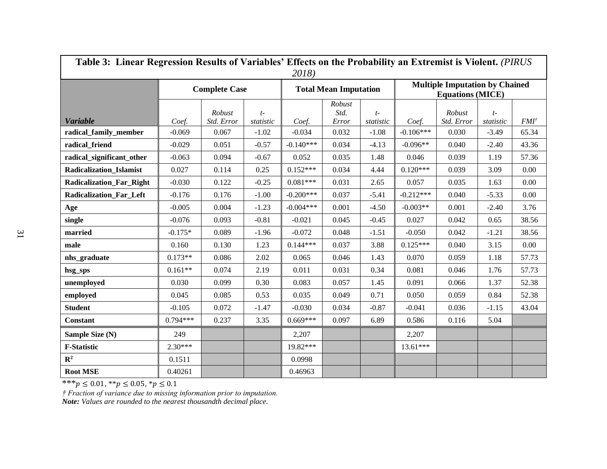| Table 3: Linear Regression Results of Variables' Effects on the Probability an Extremist is Violent. (PIRUS<br>2018) |            |                      |                   |             |                              |                   |                                                                  |                      |                   |                  |  |  |  |
|----------------------------------------------------------------------------------------------------------------------|------------|----------------------|-------------------|-------------|------------------------------|-------------------|------------------------------------------------------------------|----------------------|-------------------|------------------|--|--|--|
|                                                                                                                      |            | <b>Complete Case</b> |                   |             | <b>Total Mean Imputation</b> |                   | <b>Multiple Imputation by Chained</b><br><b>Equations (MICE)</b> |                      |                   |                  |  |  |  |
| <b>Variable</b>                                                                                                      | Coef.      | Robust<br>Std. Error | $t-$<br>statistic | Coef.       | Robust<br>Std.<br>Error      | $t-$<br>statistic | Coef.                                                            | Robust<br>Std. Error | $t-$<br>statistic | FMI <sup>†</sup> |  |  |  |
| radical family member                                                                                                | $-0.069$   | 0.067                | $-1.02$           | $-0.034$    | 0.032                        | $-1.08$           | $-0.106***$                                                      | 0.030                | $-3.49$           | 65.34            |  |  |  |
| radical friend                                                                                                       | $-0.029$   | 0.051                | $-0.57$           | $-0.140***$ | 0.034                        | $-4.13$           | $-0.096**$                                                       | 0.040                | $-2.40$           | 43.36            |  |  |  |
| radical significant other                                                                                            | $-0.063$   | 0.094                | $-0.67$           | 0.052       | 0.035                        | 1.48              | 0.046                                                            | 0.039                | 1.19              | 57.36            |  |  |  |
| <b>Radicalization Islamist</b>                                                                                       | 0.027      | 0.114                | 0.25              | $0.152***$  | 0.034                        | 4.44              | $0.120***$                                                       | 0.039                | 3.09              | 0.00             |  |  |  |
| <b>Radicalization Far Right</b>                                                                                      | $-0.030$   | 0.122                | $-0.25$           | $0.081***$  | 0.031                        | 2.65              | 0.057                                                            | 0.035                | 1.63              | 0.00             |  |  |  |
| <b>Radicalization Far Left</b>                                                                                       | $-0.176$   | 0.176                | $-1.00$           | $-0.200***$ | 0.037                        | $-5.41$           | $-0.212***$                                                      | 0.040                | $-5.33$           | 0.00             |  |  |  |
| Age                                                                                                                  | $-0.005$   | 0.004                | $-1.23$           | $-0.004***$ | 0.001                        | $-4.50$           | $-0.003**$                                                       | 0.001                | $-2.40$           | 3.76             |  |  |  |
| single                                                                                                               | $-0.076$   | 0.093                | $-0.81$           | $-0.021$    | 0.045                        | $-0.45$           | 0.027                                                            | 0.042                | 0.65              | 38.56            |  |  |  |
| married                                                                                                              | $-0.175*$  | 0.089                | $-1.96$           | $-0.072$    | 0.048                        | $-1.51$           | $-0.050$                                                         | 0.042                | $-1.21$           | 38.56            |  |  |  |
| male                                                                                                                 | 0.160      | 0.130                | 1.23              | $0.144***$  | 0.037                        | 3.88              | $0.125***$                                                       | 0.040                | 3.15              | 0.00             |  |  |  |
| nhs_graduate                                                                                                         | $0.173**$  | 0.086                | 2.02              | 0.065       | 0.046                        | 1.43              | 0.070                                                            | 0.059                | 1.18              | 57.73            |  |  |  |
| hsg_sps                                                                                                              | $0.161**$  | 0.074                | 2.19              | 0.011       | 0.031                        | 0.34              | 0.081                                                            | 0.046                | 1.76              | 57.73            |  |  |  |
| unemployed                                                                                                           | 0.030      | 0.099                | 0.30              | 0.083       | 0.057                        | 1.45              | 0.091                                                            | 0.066                | 1.37              | 52.38            |  |  |  |
| employed                                                                                                             | 0.045      | 0.085                | 0.53              | 0.035       | 0.049                        | 0.71              | 0.050                                                            | 0.059                | 0.84              | 52.38            |  |  |  |
| <b>Student</b>                                                                                                       | $-0.105$   | 0.072                | $-1.47$           | $-0.030$    | 0.034                        | $-0.87$           | $-0.041$                                                         | 0.036                | $-1.15$           | 43.04            |  |  |  |
| <b>Constant</b>                                                                                                      | $0.794***$ | 0.237                | 3.35              | $0.669***$  | 0.097                        | 6.89              | 0.586                                                            | 0.116                | 5.04              |                  |  |  |  |
| Sample Size (N)                                                                                                      | 249        |                      |                   | 2,207       |                              |                   | 2,207                                                            |                      |                   |                  |  |  |  |
| <b>F-Statistic</b>                                                                                                   | $2.30***$  |                      |                   | 19.82***    |                              |                   | $13.61***$                                                       |                      |                   |                  |  |  |  |
| $\mathbb{R}^2$                                                                                                       | 0.1511     |                      |                   | 0.0998      |                              |                   |                                                                  |                      |                   |                  |  |  |  |
| <b>Root MSE</b>                                                                                                      | 0.40261    |                      |                   | 0.46963     |                              |                   |                                                                  |                      |                   |                  |  |  |  |

\*\*\* $p \le 0.01$ , \*\* $p \le 0.05$ , \* $p \le 0.1$ 

*† Fraction of variance due to missing information prior to imputation.*

*Note: Values are rounded to the nearest thousandth decimal place.*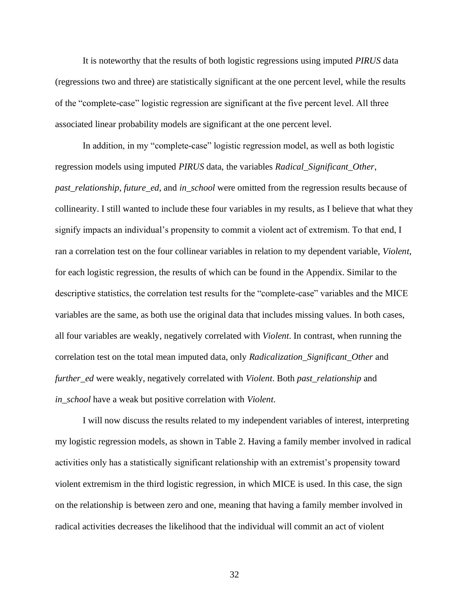It is noteworthy that the results of both logistic regressions using imputed *PIRUS* data (regressions two and three) are statistically significant at the one percent level, while the results of the "complete-case" logistic regression are significant at the five percent level. All three associated linear probability models are significant at the one percent level.

In addition, in my "complete-case" logistic regression model, as well as both logistic regression models using imputed *PIRUS* data, the variables *Radical\_Significant\_Other*, *past relationship*, *future ed*, and *in school* were omitted from the regression results because of collinearity. I still wanted to include these four variables in my results, as I believe that what they signify impacts an individual's propensity to commit a violent act of extremism. To that end, I ran a correlation test on the four collinear variables in relation to my dependent variable, *Violent*, for each logistic regression, the results of which can be found in the Appendix. Similar to the descriptive statistics, the correlation test results for the "complete-case" variables and the MICE variables are the same, as both use the original data that includes missing values. In both cases, all four variables are weakly, negatively correlated with *Violent*. In contrast, when running the correlation test on the total mean imputed data, only *Radicalization\_Significant\_Other* and *further\_ed* were weakly, negatively correlated with *Violent*. Both *past\_relationship* and *in\_school* have a weak but positive correlation with *Violent*.

I will now discuss the results related to my independent variables of interest, interpreting my logistic regression models, as shown in Table 2. Having a family member involved in radical activities only has a statistically significant relationship with an extremist's propensity toward violent extremism in the third logistic regression, in which MICE is used. In this case, the sign on the relationship is between zero and one, meaning that having a family member involved in radical activities decreases the likelihood that the individual will commit an act of violent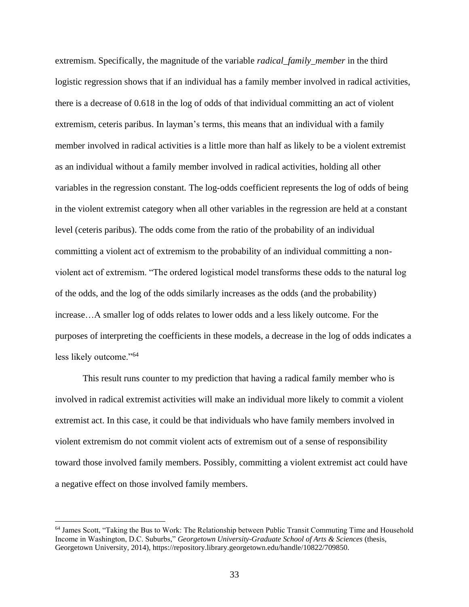extremism. Specifically, the magnitude of the variable *radical\_family\_member* in the third logistic regression shows that if an individual has a family member involved in radical activities, there is a decrease of 0.618 in the log of odds of that individual committing an act of violent extremism, ceteris paribus. In layman's terms, this means that an individual with a family member involved in radical activities is a little more than half as likely to be a violent extremist as an individual without a family member involved in radical activities, holding all other variables in the regression constant. The log-odds coefficient represents the log of odds of being in the violent extremist category when all other variables in the regression are held at a constant level (ceteris paribus). The odds come from the ratio of the probability of an individual committing a violent act of extremism to the probability of an individual committing a nonviolent act of extremism. "The ordered logistical model transforms these odds to the natural log of the odds, and the log of the odds similarly increases as the odds (and the probability) increase…A smaller log of odds relates to lower odds and a less likely outcome. For the purposes of interpreting the coefficients in these models, a decrease in the log of odds indicates a less likely outcome."<sup>64</sup>

This result runs counter to my prediction that having a radical family member who is involved in radical extremist activities will make an individual more likely to commit a violent extremist act. In this case, it could be that individuals who have family members involved in violent extremism do not commit violent acts of extremism out of a sense of responsibility toward those involved family members. Possibly, committing a violent extremist act could have a negative effect on those involved family members.

<sup>64</sup> James Scott, "Taking the Bus to Work: The Relationship between Public Transit Commuting Time and Household Income in Washington, D.C. Suburbs," *Georgetown University-Graduate School of Arts & Sciences* (thesis, Georgetown University, 2014), https://repository.library.georgetown.edu/handle/10822/709850.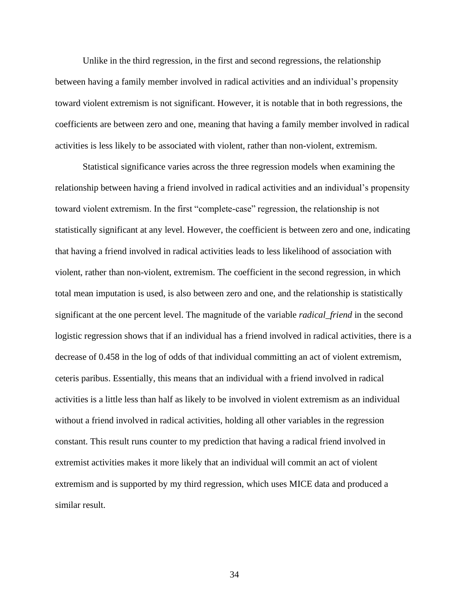Unlike in the third regression, in the first and second regressions, the relationship between having a family member involved in radical activities and an individual's propensity toward violent extremism is not significant. However, it is notable that in both regressions, the coefficients are between zero and one, meaning that having a family member involved in radical activities is less likely to be associated with violent, rather than non-violent, extremism.

Statistical significance varies across the three regression models when examining the relationship between having a friend involved in radical activities and an individual's propensity toward violent extremism. In the first "complete-case" regression, the relationship is not statistically significant at any level. However, the coefficient is between zero and one, indicating that having a friend involved in radical activities leads to less likelihood of association with violent, rather than non-violent, extremism. The coefficient in the second regression, in which total mean imputation is used, is also between zero and one, and the relationship is statistically significant at the one percent level. The magnitude of the variable *radical\_friend* in the second logistic regression shows that if an individual has a friend involved in radical activities, there is a decrease of 0.458 in the log of odds of that individual committing an act of violent extremism, ceteris paribus. Essentially, this means that an individual with a friend involved in radical activities is a little less than half as likely to be involved in violent extremism as an individual without a friend involved in radical activities, holding all other variables in the regression constant. This result runs counter to my prediction that having a radical friend involved in extremist activities makes it more likely that an individual will commit an act of violent extremism and is supported by my third regression, which uses MICE data and produced a similar result.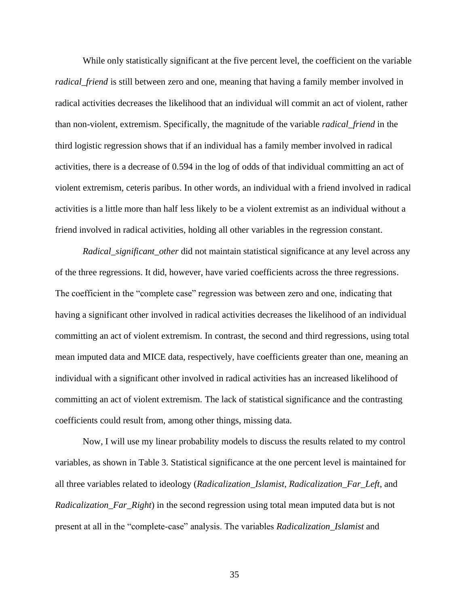While only statistically significant at the five percent level, the coefficient on the variable *radical\_friend* is still between zero and one, meaning that having a family member involved in radical activities decreases the likelihood that an individual will commit an act of violent, rather than non-violent, extremism. Specifically, the magnitude of the variable *radical\_friend* in the third logistic regression shows that if an individual has a family member involved in radical activities, there is a decrease of 0.594 in the log of odds of that individual committing an act of violent extremism, ceteris paribus. In other words, an individual with a friend involved in radical activities is a little more than half less likely to be a violent extremist as an individual without a friend involved in radical activities, holding all other variables in the regression constant.

*Radical\_significant\_other* did not maintain statistical significance at any level across any of the three regressions. It did, however, have varied coefficients across the three regressions. The coefficient in the "complete case" regression was between zero and one, indicating that having a significant other involved in radical activities decreases the likelihood of an individual committing an act of violent extremism. In contrast, the second and third regressions, using total mean imputed data and MICE data, respectively, have coefficients greater than one, meaning an individual with a significant other involved in radical activities has an increased likelihood of committing an act of violent extremism. The lack of statistical significance and the contrasting coefficients could result from, among other things, missing data.

Now, I will use my linear probability models to discuss the results related to my control variables, as shown in Table 3. Statistical significance at the one percent level is maintained for all three variables related to ideology (*Radicalization\_Islamist*, *Radicalization\_Far\_Left*, and *Radicalization\_Far\_Right*) in the second regression using total mean imputed data but is not present at all in the "complete-case" analysis. The variables *Radicalization\_Islamist* and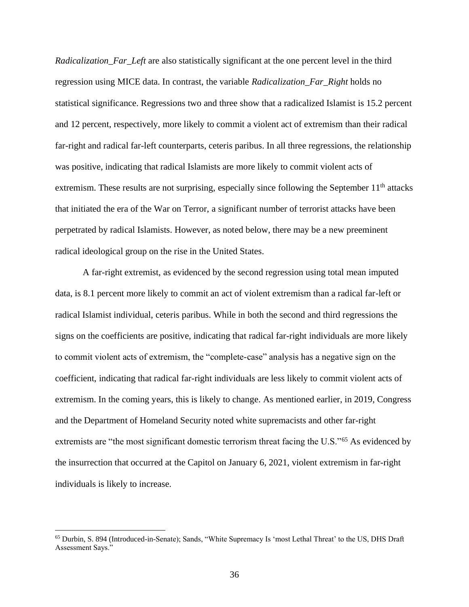*Radicalization\_Far\_Left* are also statistically significant at the one percent level in the third regression using MICE data. In contrast, the variable *Radicalization\_Far\_Right* holds no statistical significance. Regressions two and three show that a radicalized Islamist is 15.2 percent and 12 percent, respectively, more likely to commit a violent act of extremism than their radical far-right and radical far-left counterparts, ceteris paribus. In all three regressions, the relationship was positive, indicating that radical Islamists are more likely to commit violent acts of extremism. These results are not surprising, especially since following the September  $11<sup>th</sup>$  attacks that initiated the era of the War on Terror, a significant number of terrorist attacks have been perpetrated by radical Islamists. However, as noted below, there may be a new preeminent radical ideological group on the rise in the United States.

A far-right extremist, as evidenced by the second regression using total mean imputed data, is 8.1 percent more likely to commit an act of violent extremism than a radical far-left or radical Islamist individual, ceteris paribus. While in both the second and third regressions the signs on the coefficients are positive, indicating that radical far-right individuals are more likely to commit violent acts of extremism, the "complete-case" analysis has a negative sign on the coefficient, indicating that radical far-right individuals are less likely to commit violent acts of extremism. In the coming years, this is likely to change. As mentioned earlier, in 2019, Congress and the Department of Homeland Security noted white supremacists and other far-right extremists are "the most significant domestic terrorism threat facing the U.S."<sup>65</sup> As evidenced by the insurrection that occurred at the Capitol on January 6, 2021, violent extremism in far-right individuals is likely to increase.

<sup>65</sup> Durbin, S. 894 (Introduced-in-Senate); Sands, "White Supremacy Is 'most Lethal Threat' to the US, DHS Draft Assessment Says."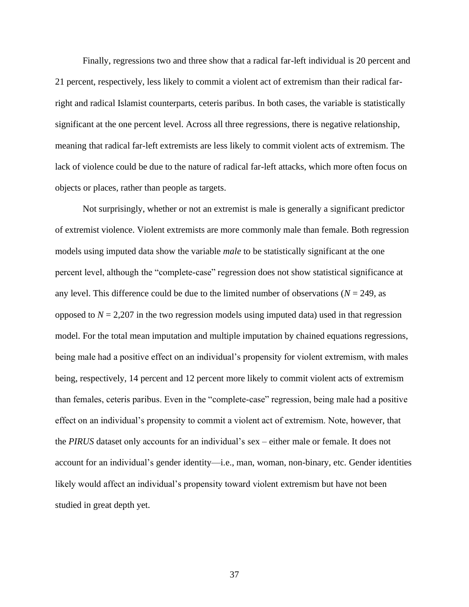Finally, regressions two and three show that a radical far-left individual is 20 percent and 21 percent, respectively, less likely to commit a violent act of extremism than their radical farright and radical Islamist counterparts, ceteris paribus. In both cases, the variable is statistically significant at the one percent level. Across all three regressions, there is negative relationship, meaning that radical far-left extremists are less likely to commit violent acts of extremism. The lack of violence could be due to the nature of radical far-left attacks, which more often focus on objects or places, rather than people as targets.

Not surprisingly, whether or not an extremist is male is generally a significant predictor of extremist violence. Violent extremists are more commonly male than female. Both regression models using imputed data show the variable *male* to be statistically significant at the one percent level, although the "complete-case" regression does not show statistical significance at any level. This difference could be due to the limited number of observations ( $N = 249$ , as opposed to  $N = 2,207$  in the two regression models using imputed data) used in that regression model. For the total mean imputation and multiple imputation by chained equations regressions, being male had a positive effect on an individual's propensity for violent extremism, with males being, respectively, 14 percent and 12 percent more likely to commit violent acts of extremism than females, ceteris paribus. Even in the "complete-case" regression, being male had a positive effect on an individual's propensity to commit a violent act of extremism. Note, however, that the *PIRUS* dataset only accounts for an individual's sex – either male or female. It does not account for an individual's gender identity—i.e., man, woman, non-binary, etc. Gender identities likely would affect an individual's propensity toward violent extremism but have not been studied in great depth yet.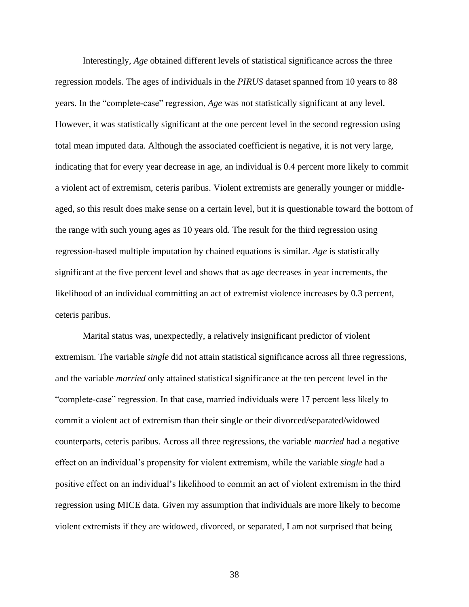Interestingly, *Age* obtained different levels of statistical significance across the three regression models. The ages of individuals in the *PIRUS* dataset spanned from 10 years to 88 years. In the "complete-case" regression, *Age* was not statistically significant at any level. However, it was statistically significant at the one percent level in the second regression using total mean imputed data. Although the associated coefficient is negative, it is not very large, indicating that for every year decrease in age, an individual is 0.4 percent more likely to commit a violent act of extremism, ceteris paribus. Violent extremists are generally younger or middleaged, so this result does make sense on a certain level, but it is questionable toward the bottom of the range with such young ages as 10 years old. The result for the third regression using regression-based multiple imputation by chained equations is similar. *Age* is statistically significant at the five percent level and shows that as age decreases in year increments, the likelihood of an individual committing an act of extremist violence increases by 0.3 percent, ceteris paribus.

Marital status was, unexpectedly, a relatively insignificant predictor of violent extremism. The variable *single* did not attain statistical significance across all three regressions, and the variable *married* only attained statistical significance at the ten percent level in the "complete-case" regression. In that case, married individuals were 17 percent less likely to commit a violent act of extremism than their single or their divorced/separated/widowed counterparts, ceteris paribus. Across all three regressions, the variable *married* had a negative effect on an individual's propensity for violent extremism, while the variable *single* had a positive effect on an individual's likelihood to commit an act of violent extremism in the third regression using MICE data. Given my assumption that individuals are more likely to become violent extremists if they are widowed, divorced, or separated, I am not surprised that being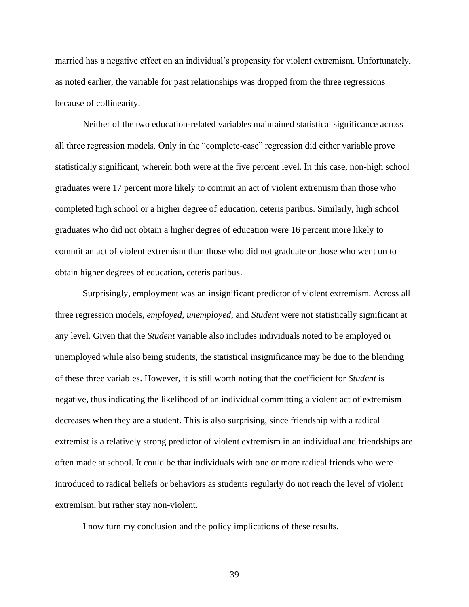married has a negative effect on an individual's propensity for violent extremism. Unfortunately, as noted earlier, the variable for past relationships was dropped from the three regressions because of collinearity.

Neither of the two education-related variables maintained statistical significance across all three regression models. Only in the "complete-case" regression did either variable prove statistically significant, wherein both were at the five percent level. In this case, non-high school graduates were 17 percent more likely to commit an act of violent extremism than those who completed high school or a higher degree of education, ceteris paribus. Similarly, high school graduates who did not obtain a higher degree of education were 16 percent more likely to commit an act of violent extremism than those who did not graduate or those who went on to obtain higher degrees of education, ceteris paribus.

Surprisingly, employment was an insignificant predictor of violent extremism. Across all three regression models, *employed*, *unemployed*, and *Student* were not statistically significant at any level. Given that the *Student* variable also includes individuals noted to be employed or unemployed while also being students, the statistical insignificance may be due to the blending of these three variables. However, it is still worth noting that the coefficient for *Student* is negative, thus indicating the likelihood of an individual committing a violent act of extremism decreases when they are a student. This is also surprising, since friendship with a radical extremist is a relatively strong predictor of violent extremism in an individual and friendships are often made at school. It could be that individuals with one or more radical friends who were introduced to radical beliefs or behaviors as students regularly do not reach the level of violent extremism, but rather stay non-violent.

I now turn my conclusion and the policy implications of these results.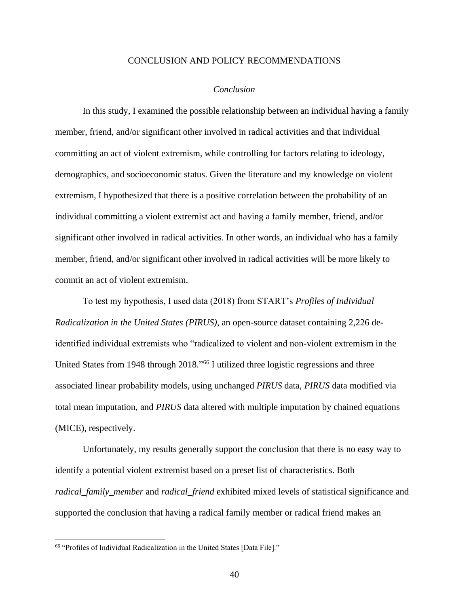#### CONCLUSION AND POLICY RECOMMENDATIONS

#### *Conclusion*

<span id="page-45-1"></span><span id="page-45-0"></span>In this study, I examined the possible relationship between an individual having a family member, friend, and/or significant other involved in radical activities and that individual committing an act of violent extremism, while controlling for factors relating to ideology, demographics, and socioeconomic status. Given the literature and my knowledge on violent extremism, I hypothesized that there is a positive correlation between the probability of an individual committing a violent extremist act and having a family member, friend, and/or significant other involved in radical activities. In other words, an individual who has a family member, friend, and/or significant other involved in radical activities will be more likely to commit an act of violent extremism.

To test my hypothesis, I used data (2018) from START's *Profiles of Individual Radicalization in the United States (PIRUS)*, an open-source dataset containing 2,226 deidentified individual extremists who "radicalized to violent and non-violent extremism in the United States from 1948 through 2018." <sup>66</sup> I utilized three logistic regressions and three associated linear probability models, using unchanged *PIRUS* data, *PIRUS* data modified via total mean imputation, and *PIRUS* data altered with multiple imputation by chained equations (MICE), respectively.

Unfortunately, my results generally support the conclusion that there is no easy way to identify a potential violent extremist based on a preset list of characteristics. Both *radical\_family\_member* and *radical\_friend* exhibited mixed levels of statistical significance and supported the conclusion that having a radical family member or radical friend makes an

<sup>66</sup> "Profiles of Individual Radicalization in the United States [Data File]."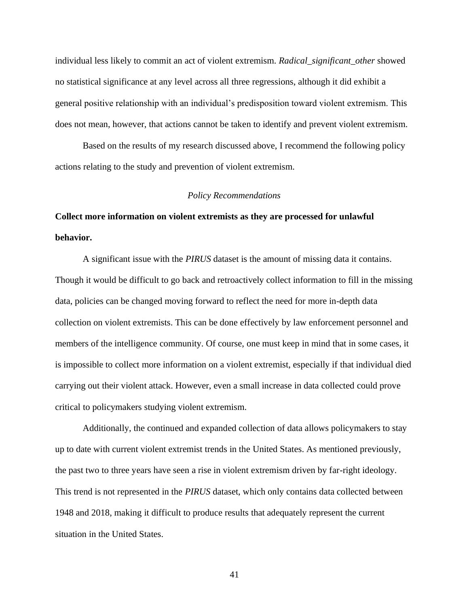individual less likely to commit an act of violent extremism. *Radical\_significant\_other* showed no statistical significance at any level across all three regressions, although it did exhibit a general positive relationship with an individual's predisposition toward violent extremism. This does not mean, however, that actions cannot be taken to identify and prevent violent extremism.

Based on the results of my research discussed above, I recommend the following policy actions relating to the study and prevention of violent extremism.

#### *Policy Recommendations*

# <span id="page-46-0"></span>**Collect more information on violent extremists as they are processed for unlawful behavior.**

A significant issue with the *PIRUS* dataset is the amount of missing data it contains. Though it would be difficult to go back and retroactively collect information to fill in the missing data, policies can be changed moving forward to reflect the need for more in-depth data collection on violent extremists. This can be done effectively by law enforcement personnel and members of the intelligence community. Of course, one must keep in mind that in some cases, it is impossible to collect more information on a violent extremist, especially if that individual died carrying out their violent attack. However, even a small increase in data collected could prove critical to policymakers studying violent extremism.

Additionally, the continued and expanded collection of data allows policymakers to stay up to date with current violent extremist trends in the United States. As mentioned previously, the past two to three years have seen a rise in violent extremism driven by far-right ideology. This trend is not represented in the *PIRUS* dataset, which only contains data collected between 1948 and 2018, making it difficult to produce results that adequately represent the current situation in the United States.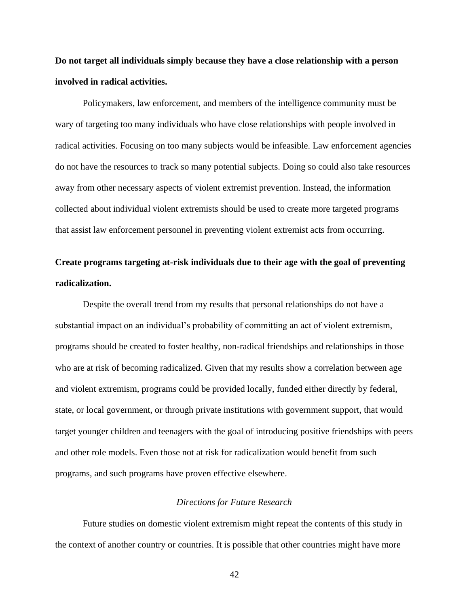**Do not target all individuals simply because they have a close relationship with a person involved in radical activities.**

Policymakers, law enforcement, and members of the intelligence community must be wary of targeting too many individuals who have close relationships with people involved in radical activities. Focusing on too many subjects would be infeasible. Law enforcement agencies do not have the resources to track so many potential subjects. Doing so could also take resources away from other necessary aspects of violent extremist prevention. Instead, the information collected about individual violent extremists should be used to create more targeted programs that assist law enforcement personnel in preventing violent extremist acts from occurring.

# **Create programs targeting at-risk individuals due to their age with the goal of preventing radicalization.**

Despite the overall trend from my results that personal relationships do not have a substantial impact on an individual's probability of committing an act of violent extremism, programs should be created to foster healthy, non-radical friendships and relationships in those who are at risk of becoming radicalized. Given that my results show a correlation between age and violent extremism, programs could be provided locally, funded either directly by federal, state, or local government, or through private institutions with government support, that would target younger children and teenagers with the goal of introducing positive friendships with peers and other role models. Even those not at risk for radicalization would benefit from such programs, and such programs have proven effective elsewhere.

#### *Directions for Future Research*

<span id="page-47-0"></span>Future studies on domestic violent extremism might repeat the contents of this study in the context of another country or countries. It is possible that other countries might have more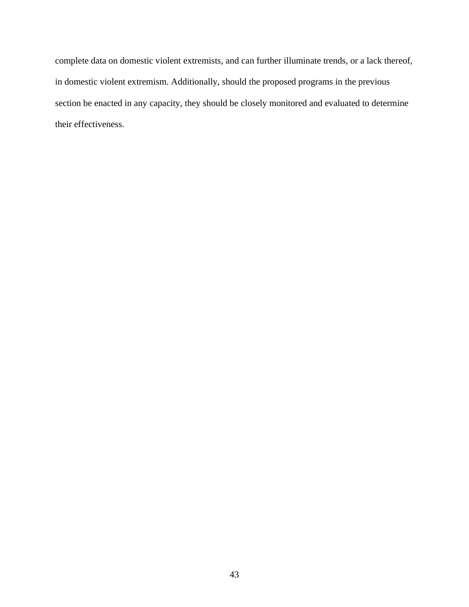complete data on domestic violent extremists, and can further illuminate trends, or a lack thereof, in domestic violent extremism. Additionally, should the proposed programs in the previous section be enacted in any capacity, they should be closely monitored and evaluated to determine their effectiveness.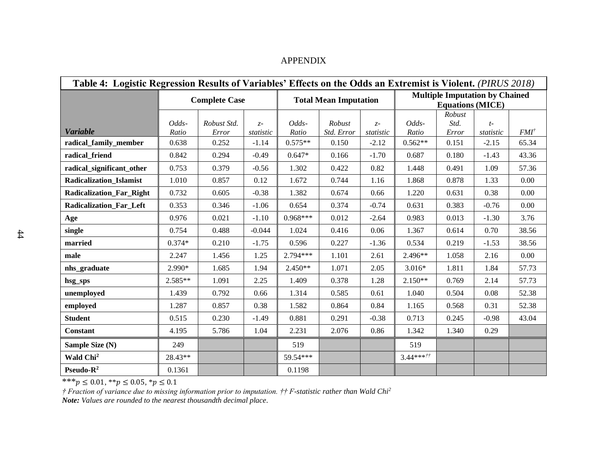<span id="page-49-0"></span>

| Table 4: Logistic Regression Results of Variables' Effects on the Odds an Extremist is Violent. (PIRUS 2018) |                |                      |                   |                |                              |                   |                |                                                                  |                   |                  |  |  |  |
|--------------------------------------------------------------------------------------------------------------|----------------|----------------------|-------------------|----------------|------------------------------|-------------------|----------------|------------------------------------------------------------------|-------------------|------------------|--|--|--|
|                                                                                                              |                | <b>Complete Case</b> |                   |                | <b>Total Mean Imputation</b> |                   |                | <b>Multiple Imputation by Chained</b><br><b>Equations (MICE)</b> |                   |                  |  |  |  |
|                                                                                                              |                |                      |                   |                |                              |                   |                | Robust                                                           |                   |                  |  |  |  |
| <b>Variable</b>                                                                                              | Odds-<br>Ratio | Robust Std.<br>Error | $z-$<br>statistic | Odds-<br>Ratio | Robust<br>Std. Error         | $z-$<br>statistic | Odds-<br>Ratio | Std.<br>Error                                                    | $t-$<br>statistic | FMI <sup>†</sup> |  |  |  |
| radical_family_member                                                                                        | 0.638          | 0.252                | $-1.14$           | $0.575**$      | 0.150                        | $-2.12$           | $0.562**$      | 0.151                                                            | $-2.15$           | 65.34            |  |  |  |
| radical_friend                                                                                               | 0.842          | 0.294                | $-0.49$           | $0.647*$       | 0.166                        | $-1.70$           | 0.687          | 0.180                                                            | $-1.43$           | 43.36            |  |  |  |
| radical_significant_other                                                                                    | 0.753          | 0.379                | $-0.56$           | 1.302          | 0.422                        | 0.82              | 1.448          | 0.491                                                            | 1.09              | 57.36            |  |  |  |
| <b>Radicalization_Islamist</b>                                                                               | 1.010          | 0.857                | 0.12              | 1.672          | 0.744                        | 1.16              | 1.868          | 0.878                                                            | 1.33              | 0.00             |  |  |  |
| <b>Radicalization_Far_Right</b>                                                                              | 0.732          | 0.605                | $-0.38$           | 1.382          | 0.674                        | 0.66              | 1.220          | 0.631                                                            | 0.38              | 0.00             |  |  |  |
| Radicalization_Far_Left                                                                                      | 0.353          | 0.346                | $-1.06$           | 0.654          | 0.374                        | $-0.74$           | 0.631          | 0.383                                                            | $-0.76$           | 0.00             |  |  |  |
| Age                                                                                                          | 0.976          | 0.021                | $-1.10$           | $0.968***$     | 0.012                        | $-2.64$           | 0.983          | 0.013                                                            | $-1.30$           | 3.76             |  |  |  |
| single                                                                                                       | 0.754          | 0.488                | $-0.044$          | 1.024          | 0.416                        | 0.06              | 1.367          | 0.614                                                            | 0.70              | 38.56            |  |  |  |
| married                                                                                                      | $0.374*$       | 0.210                | $-1.75$           | 0.596          | 0.227                        | $-1.36$           | 0.534          | 0.219                                                            | $-1.53$           | 38.56            |  |  |  |
| male                                                                                                         | 2.247          | 1.456                | 1.25              | $2.794***$     | 1.101                        | 2.61              | 2.496**        | 1.058                                                            | 2.16              | 0.00             |  |  |  |
| nhs_graduate                                                                                                 | 2.990*         | 1.685                | 1.94              | $2.450**$      | 1.071                        | 2.05              | $3.016*$       | 1.811                                                            | 1.84              | 57.73            |  |  |  |
| hsg_sps                                                                                                      | 2.585**        | 1.091                | 2.25              | 1.409          | 0.378                        | 1.28              | $2.150**$      | 0.769                                                            | 2.14              | 57.73            |  |  |  |
| unemployed                                                                                                   | 1.439          | 0.792                | 0.66              | 1.314          | 0.585                        | 0.61              | 1.040          | 0.504                                                            | 0.08              | 52.38            |  |  |  |
| employed                                                                                                     | 1.287          | 0.857                | 0.38              | 1.582          | 0.864                        | 0.84              | 1.165          | 0.568                                                            | 0.31              | 52.38            |  |  |  |
| <b>Student</b>                                                                                               | 0.515          | 0.230                | $-1.49$           | 0.881          | 0.291                        | $-0.38$           | 0.713          | 0.245                                                            | $-0.98$           | 43.04            |  |  |  |
| <b>Constant</b>                                                                                              | 4.195          | 5.786                | 1.04              | 2.231          | 2.076                        | 0.86              | 1.342          | 1.340                                                            | 0.29              |                  |  |  |  |
| Sample Size (N)                                                                                              | 249            |                      |                   | 519            |                              |                   | 519            |                                                                  |                   |                  |  |  |  |
| Wald Chi <sup>2</sup>                                                                                        | 28.43**        |                      |                   | 59.54***       |                              |                   | $3.44***$      |                                                                  |                   |                  |  |  |  |
| Pseudo-R <sup>2</sup>                                                                                        | 0.1361         |                      |                   | 0.1198         |                              |                   |                |                                                                  |                   |                  |  |  |  |

### APPENDIX

\*\*\* $p \le 0.01$ , \*\* $p \le 0.05$ , \* $p \le 0.1$ 

*† Fraction of variance due to missing information prior to imputation. †† F-statistic rather than Wald Chi<sup>2</sup>*

*Note: Values are rounded to the nearest thousandth decimal place.*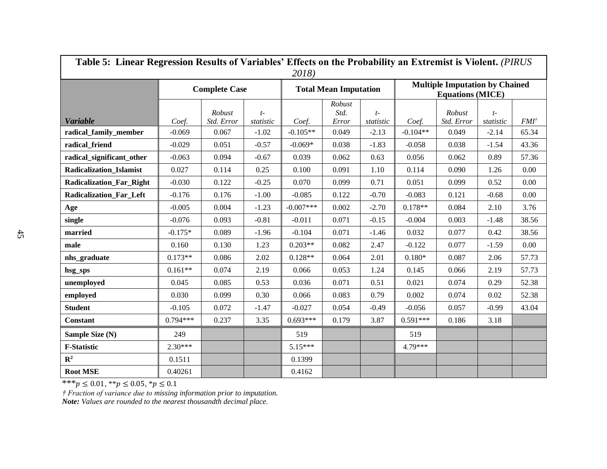| Table 5: Linear Regression Results of Variables' Effects on the Probability an Extremist is Violent. (PIRUS |            |                      |                   |             |                              |                   |                                                                  |                      |                   |                  |  |  |  |
|-------------------------------------------------------------------------------------------------------------|------------|----------------------|-------------------|-------------|------------------------------|-------------------|------------------------------------------------------------------|----------------------|-------------------|------------------|--|--|--|
|                                                                                                             |            | <b>Complete Case</b> |                   | 2018)       | <b>Total Mean Imputation</b> |                   | <b>Multiple Imputation by Chained</b><br><b>Equations (MICE)</b> |                      |                   |                  |  |  |  |
| <b>Variable</b>                                                                                             | Coef.      | Robust<br>Std. Error | $t-$<br>statistic | Coef.       | Robust<br>Std.<br>Error      | $t-$<br>statistic | Coef.                                                            | Robust<br>Std. Error | $t-$<br>statistic | FMI <sup>†</sup> |  |  |  |
| radical_family_member                                                                                       | $-0.069$   | 0.067                | $-1.02$           | $-0.105**$  | 0.049                        | $-2.13$           | $-0.104**$                                                       | 0.049                | $-2.14$           | 65.34            |  |  |  |
| radical_friend                                                                                              | $-0.029$   | 0.051                | $-0.57$           | $-0.069*$   | 0.038                        | $-1.83$           | $-0.058$                                                         | 0.038                | $-1.54$           | 43.36            |  |  |  |
| radical_significant_other                                                                                   | $-0.063$   | 0.094                | $-0.67$           | 0.039       | 0.062                        | 0.63              | 0.056                                                            | 0.062                | 0.89              | 57.36            |  |  |  |
| <b>Radicalization Islamist</b>                                                                              | 0.027      | 0.114                | 0.25              | 0.100       | 0.091                        | 1.10              | 0.114                                                            | 0.090                | 1.26              | 0.00             |  |  |  |
| <b>Radicalization_Far_Right</b>                                                                             | $-0.030$   | 0.122                | $-0.25$           | 0.070       | 0.099                        | 0.71              | 0.051                                                            | 0.099                | 0.52              | 0.00             |  |  |  |
| <b>Radicalization Far Left</b>                                                                              | $-0.176$   | 0.176                | $-1.00$           | $-0.085$    | 0.122                        | $-0.70$           | $-0.083$                                                         | 0.121                | $-0.68$           | 0.00             |  |  |  |
| Age                                                                                                         | $-0.005$   | 0.004                | $-1.23$           | $-0.007***$ | 0.002                        | $-2.70$           | $0.178**$                                                        | 0.084                | 2.10              | 3.76             |  |  |  |
| single                                                                                                      | $-0.076$   | 0.093                | $-0.81$           | $-0.011$    | 0.071                        | $-0.15$           | $-0.004$                                                         | 0.003                | $-1.48$           | 38.56            |  |  |  |
| married                                                                                                     | $-0.175*$  | 0.089                | $-1.96$           | $-0.104$    | 0.071                        | $-1.46$           | 0.032                                                            | 0.077                | 0.42              | 38.56            |  |  |  |
| male                                                                                                        | 0.160      | 0.130                | 1.23              | $0.203**$   | 0.082                        | 2.47              | $-0.122$                                                         | 0.077                | $-1.59$           | 0.00             |  |  |  |
| nhs_graduate                                                                                                | $0.173**$  | 0.086                | 2.02              | $0.128**$   | 0.064                        | 2.01              | $0.180*$                                                         | 0.087                | 2.06              | 57.73            |  |  |  |
| hsg_sps                                                                                                     | $0.161**$  | 0.074                | 2.19              | 0.066       | 0.053                        | 1.24              | 0.145                                                            | 0.066                | 2.19              | 57.73            |  |  |  |
| unemployed                                                                                                  | 0.045      | 0.085                | 0.53              | 0.036       | 0.071                        | 0.51              | 0.021                                                            | 0.074                | 0.29              | 52.38            |  |  |  |
| employed                                                                                                    | 0.030      | 0.099                | 0.30              | 0.066       | 0.083                        | 0.79              | 0.002                                                            | 0.074                | 0.02              | 52.38            |  |  |  |
| <b>Student</b>                                                                                              | $-0.105$   | 0.072                | $-1.47$           | $-0.027$    | 0.054                        | $-0.49$           | $-0.056$                                                         | 0.057                | $-0.99$           | 43.04            |  |  |  |
| <b>Constant</b>                                                                                             | $0.794***$ | 0.237                | 3.35              | $0.693***$  | 0.179                        | 3.87              | $0.591***$                                                       | 0.186                | 3.18              |                  |  |  |  |
| Sample Size (N)                                                                                             | 249        |                      |                   | 519         |                              |                   | 519                                                              |                      |                   |                  |  |  |  |
| <b>F-Statistic</b>                                                                                          | $2.30***$  |                      |                   | $5.15***$   |                              |                   | $4.79***$                                                        |                      |                   |                  |  |  |  |
| $\mathbb{R}^2$                                                                                              | 0.1511     |                      |                   | 0.1399      |                              |                   |                                                                  |                      |                   |                  |  |  |  |
| <b>Root MSE</b>                                                                                             | 0.40261    |                      |                   | 0.4162      |                              |                   |                                                                  |                      |                   |                  |  |  |  |

\*\*\* $p \le 0.01$ , \*\* $p \le 0.05$ , \* $p \le 0.1$ 

*† Fraction of variance due to missing information prior to imputation.*

*Note: Values are rounded to the nearest thousandth decimal place.*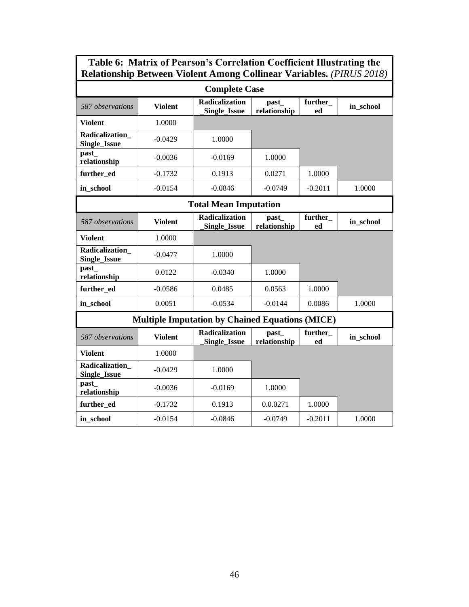## **Table 6: Matrix of Pearson's Correlation Coefficient Illustrating the Relationship Between Violent Among Collinear Variables.** *(PIRUS 2018)*

| <b>Complete Case</b>                  |                |                                                        |                       |               |           |  |  |  |  |  |  |
|---------------------------------------|----------------|--------------------------------------------------------|-----------------------|---------------|-----------|--|--|--|--|--|--|
| 587 observations                      | <b>Violent</b> | <b>Radicalization</b><br>Single_Issue                  | past_<br>relationship | in_school     |           |  |  |  |  |  |  |
| <b>Violent</b>                        | 1.0000         |                                                        |                       |               |           |  |  |  |  |  |  |
| Radicalization<br><b>Single_Issue</b> | $-0.0429$      | 1.0000                                                 |                       |               |           |  |  |  |  |  |  |
| past<br>relationship                  | $-0.0036$      | $-0.0169$                                              | 1.0000                |               |           |  |  |  |  |  |  |
| further ed                            | $-0.1732$      | 0.1913                                                 | 0.0271                | 1.0000        |           |  |  |  |  |  |  |
| in school                             | $-0.0154$      | $-0.0846$                                              | $-0.0749$             | $-0.2011$     | 1.0000    |  |  |  |  |  |  |
|                                       |                | <b>Total Mean Imputation</b>                           |                       |               |           |  |  |  |  |  |  |
| 587 observations                      | <b>Violent</b> | <b>Radicalization</b><br>Single_Issue                  | past_<br>relationship | further<br>ed | in_school |  |  |  |  |  |  |
| <b>Violent</b>                        | 1.0000         |                                                        |                       |               |           |  |  |  |  |  |  |
| Radicalization<br><b>Single_Issue</b> | $-0.0477$      | 1.0000                                                 |                       |               |           |  |  |  |  |  |  |
| past<br>relationship                  | 0.0122         | $-0.0340$                                              | 1.0000                |               |           |  |  |  |  |  |  |
| further ed                            | $-0.0586$      | 0.0485                                                 | 0.0563                | 1.0000        |           |  |  |  |  |  |  |
| in school                             | 0.0051         | $-0.0534$                                              | $-0.0144$             | 0.0086        | 1.0000    |  |  |  |  |  |  |
|                                       |                | <b>Multiple Imputation by Chained Equations (MICE)</b> |                       |               |           |  |  |  |  |  |  |
| 587 observations                      | <b>Violent</b> | <b>Radicalization</b><br>Single_Issue                  | past_<br>relationship | further<br>ed | in_school |  |  |  |  |  |  |
| <b>Violent</b>                        | 1.0000         |                                                        |                       |               |           |  |  |  |  |  |  |
| Radicalization<br><b>Single_Issue</b> | $-0.0429$      | 1.0000                                                 |                       |               |           |  |  |  |  |  |  |
| past<br>relationship                  | $-0.0036$      | $-0.0169$                                              | 1.0000                |               |           |  |  |  |  |  |  |
| further ed                            | $-0.1732$      | 0.1913                                                 | 0.0.0271              | 1.0000        |           |  |  |  |  |  |  |
| in school                             | $-0.0154$      | $-0.0846$                                              | $-0.0749$             | $-0.2011$     | 1.0000    |  |  |  |  |  |  |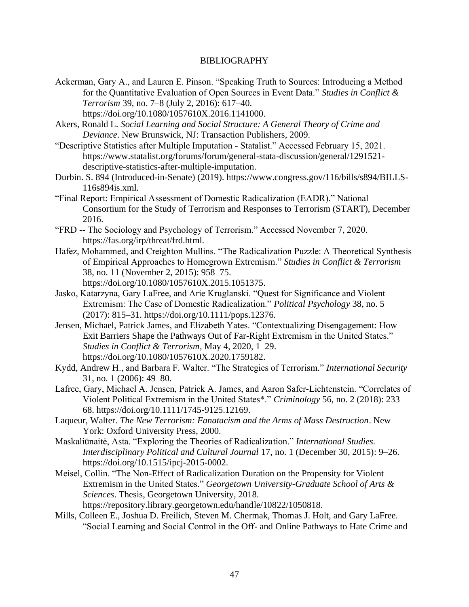#### BIBLIOGRAPHY

- <span id="page-52-0"></span>Ackerman, Gary A., and Lauren E. Pinson. "Speaking Truth to Sources: Introducing a Method for the Quantitative Evaluation of Open Sources in Event Data." *Studies in Conflict & Terrorism* 39, no. 7–8 (July 2, 2016): 617–40. https://doi.org/10.1080/1057610X.2016.1141000.
- Akers, Ronald L. *Social Learning and Social Structure: A General Theory of Crime and Deviance*. New Brunswick, NJ: Transaction Publishers, 2009.
- "Descriptive Statistics after Multiple Imputation Statalist." Accessed February 15, 2021. https://www.statalist.org/forums/forum/general-stata-discussion/general/1291521 descriptive-statistics-after-multiple-imputation.
- Durbin. S. 894 (Introduced-in-Senate) (2019). https://www.congress.gov/116/bills/s894/BILLS-116s894is.xml.
- "Final Report: Empirical Assessment of Domestic Radicalization (EADR)." National Consortium for the Study of Terrorism and Responses to Terrorism (START), December 2016.
- "FRD -- The Sociology and Psychology of Terrorism." Accessed November 7, 2020. https://fas.org/irp/threat/frd.html.
- Hafez, Mohammed, and Creighton Mullins. "The Radicalization Puzzle: A Theoretical Synthesis of Empirical Approaches to Homegrown Extremism." *Studies in Conflict & Terrorism* 38, no. 11 (November 2, 2015): 958–75. https://doi.org/10.1080/1057610X.2015.1051375.
- Jasko, Katarzyna, Gary LaFree, and Arie Kruglanski. "Quest for Significance and Violent Extremism: The Case of Domestic Radicalization." *Political Psychology* 38, no. 5 (2017): 815–31. https://doi.org/10.1111/pops.12376.
- Jensen, Michael, Patrick James, and Elizabeth Yates. "Contextualizing Disengagement: How Exit Barriers Shape the Pathways Out of Far-Right Extremism in the United States." *Studies in Conflict & Terrorism*, May 4, 2020, 1–29. https://doi.org/10.1080/1057610X.2020.1759182.
- Kydd, Andrew H., and Barbara F. Walter. "The Strategies of Terrorism." *International Security* 31, no. 1 (2006): 49–80.
- Lafree, Gary, Michael A. Jensen, Patrick A. James, and Aaron Safer‐Lichtenstein. "Correlates of Violent Political Extremism in the United States\*." *Criminology* 56, no. 2 (2018): 233– 68. https://doi.org/10.1111/1745-9125.12169.
- Laqueur, Walter. *The New Terrorism: Fanatacism and the Arms of Mass Destruction*. New York: Oxford University Press, 2000.
- Maskaliūnaitė, Asta. "Exploring the Theories of Radicalization." *International Studies. Interdisciplinary Political and Cultural Journal* 17, no. 1 (December 30, 2015): 9–26. https://doi.org/10.1515/ipcj-2015-0002.
- Meisel, Collin. "The Non-Effect of Radicalization Duration on the Propensity for Violent Extremism in the United States." *Georgetown University-Graduate School of Arts & Sciences*. Thesis, Georgetown University, 2018. https://repository.library.georgetown.edu/handle/10822/1050818.
- Mills, Colleen E., Joshua D. Freilich, Steven M. Chermak, Thomas J. Holt, and Gary LaFree.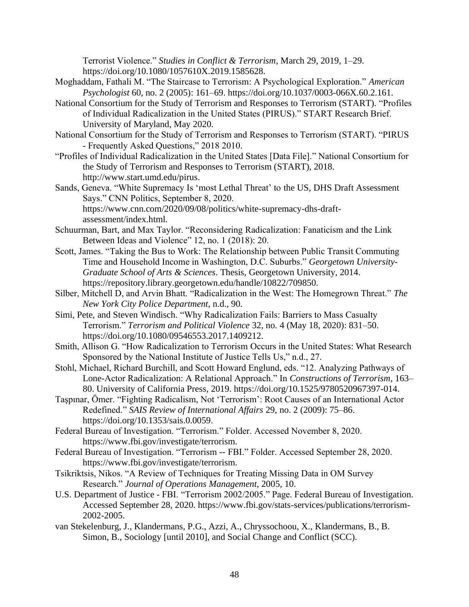Terrorist Violence." *Studies in Conflict & Terrorism*, March 29, 2019, 1–29. https://doi.org/10.1080/1057610X.2019.1585628.

- Moghaddam, Fathali M. "The Staircase to Terrorism: A Psychological Exploration." *American Psychologist* 60, no. 2 (2005): 161–69. https://doi.org/10.1037/0003-066X.60.2.161.
- National Consortium for the Study of Terrorism and Responses to Terrorism (START). "Profiles of Individual Radicalization in the United States (PIRUS)." START Research Brief. University of Maryland, May 2020.
- National Consortium for the Study of Terrorism and Responses to Terrorism (START). "PIRUS - Frequently Asked Questions," 2018 2010.
- "Profiles of Individual Radicalization in the United States [Data File]." National Consortium for the Study of Terrorism and Responses to Terrorism (START), 2018. http://www.start.umd.edu/pirus.
- Sands, Geneva. "White Supremacy Is 'most Lethal Threat' to the US, DHS Draft Assessment Says." CNN Politics, September 8, 2020. https://www.cnn.com/2020/09/08/politics/white-supremacy-dhs-draftassessment/index.html.
- Schuurman, Bart, and Max Taylor. "Reconsidering Radicalization: Fanaticism and the Link Between Ideas and Violence" 12, no. 1 (2018): 20.
- Scott, James. "Taking the Bus to Work: The Relationship between Public Transit Commuting Time and Household Income in Washington, D.C. Suburbs." *Georgetown University-Graduate School of Arts & Sciences*. Thesis, Georgetown University, 2014. https://repository.library.georgetown.edu/handle/10822/709850.
- Silber, Mitchell D, and Arvin Bhatt. "Radicalization in the West: The Homegrown Threat." *The New York City Police Department*, n.d., 90.
- Simi, Pete, and Steven Windisch. "Why Radicalization Fails: Barriers to Mass Casualty Terrorism." *Terrorism and Political Violence* 32, no. 4 (May 18, 2020): 831–50. https://doi.org/10.1080/09546553.2017.1409212.
- Smith, Allison G. "How Radicalization to Terrorism Occurs in the United States: What Research Sponsored by the National Institute of Justice Tells Us," n.d., 27.
- Stohl, Michael, Richard Burchill, and Scott Howard Englund, eds. "12. Analyzing Pathways of Lone-Actor Radicalization: A Relational Approach." In *Constructions of Terrorism*, 163– 80. University of California Press, 2019. https://doi.org/10.1525/9780520967397-014.
- Taşpınar, Ömer. "Fighting Radicalism, Not 'Terrorism': Root Causes of an International Actor Redefined." *SAIS Review of International Affairs* 29, no. 2 (2009): 75–86. https://doi.org/10.1353/sais.0.0059.
- Federal Bureau of Investigation. "Terrorism." Folder. Accessed November 8, 2020. https://www.fbi.gov/investigate/terrorism.
- Federal Bureau of Investigation. "Terrorism -- FBI." Folder. Accessed September 28, 2020. https://www.fbi.gov/investigate/terrorism.
- Tsikriktsis, Nikos. "A Review of Techniques for Treating Missing Data in OM Survey Research." *Journal of Operations Management*, 2005, 10.
- U.S. Department of Justice FBI. "Terrorism 2002/2005." Page. Federal Bureau of Investigation. Accessed September 28, 2020. https://www.fbi.gov/stats-services/publications/terrorism-2002-2005.
- van Stekelenburg, J., Klandermans, P.G., Azzi, A., Chryssochoou, X., Klandermans, B., B. Simon, B., Sociology [until 2010], and Social Change and Conflict (SCC).